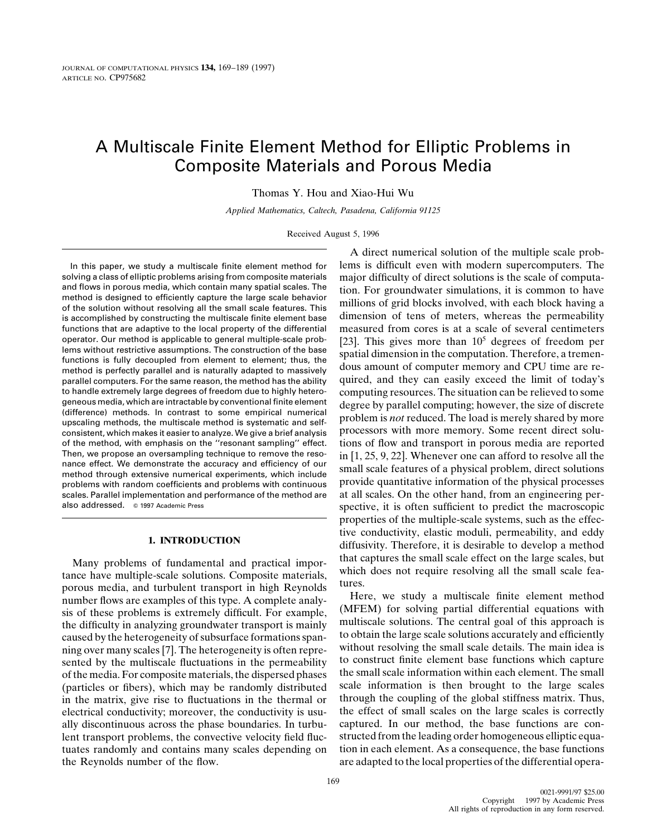# A Multiscale Finite Element Method for Elliptic Problems in Composite Materials and Porous Media

Thomas Y. Hou and Xiao-Hui Wu

*Applied Mathematics, Caltech, Pasadena, California 91125*

Received August 5, 1996

solving a class of elliptic problems arising from composite materials major difficulty of direct solutions is the scale of computa-<br>and flows in porous media, which contain many spatial scales. The tion For groundwater sim and flows in porous media, which contain many spatial scales. The<br>method is designed to efficiently capture the large scale behavior<br>of the solution without resolving all the small scale features. This<br>millions of grid blo is accomplished by constructing the multiscale finite element base dimension of tens of meters, whereas the permeability functions that are adaptive to the local property of the differential measured from cores is at a scale of several centimeters operator. Our method is applicable to general multiple-scale prob-<br>lems without restrictive assumptions. The construction of the base<br>functions is fully decoupled from element to element; thus, the<br>spatial dimension in th method is perfectly parallel and is naturally adapted to massively dous amount of computer memory and CPU time are reparallel computers. For the same reason, the method has the ability quired, and they can easily exceed the limit of today's to handle extremely large degrees of freedom due to highly hetero-<br>geneous media, which are intractable by conventional finite element degree by parallel computing; boweyer, the size of discrete geneous media, which are intractable by conventional finite element<br>(difference) methods. In contrast to some empirical numerical<br>upscaling methods, the multiscale method is systematic and self-<br>problem is *not* reduced. T consistent, which makes it easier to analyze. We give a brief analysis processors with more memory. Some recent direct soluof the method, with emphasis on the "resonant sampling" effect. tions of flow and transport in porous media are reported<br>Then, we propose an oversampling technique to remove the reso-in [1 25 9 22] Whenever one can afford Then, we propose an oversampling technique to remove the reso-<br>nance effect. We demonstrate the accuracy and efficiency of our<br>method through extensive numerical experiments, which include<br>problems of a physical problem, scales. Parallel implementation and performance of the method are at all scales. On the other hand, from an engineering per-

Many problems of fundamental and practical impor-<br>tance have multiple-scale solutions. Composite materials,<br>porous media, and turbulent transport in high Reynolds<br>number flows are examples of this type. A complete analy-<br>s ning over many scales [7]. The heterogeneity is often repre-<br>sented by the multiscale fluctuations in the permeability to construct finite element base functions which capture sented by the multiscale fluctuations in the permeability to construct finite element base functions which capture<br>of the media For composite materials the dispersed phases the small scale information within each element. of the media. For composite materials, the dispersed phases the small scale information within each element. The small<br>(particles or fibers), which may be randomly distributed scale information is then brought to the large (particles or fibers), which may be randomly distributed in the matrix, give rise to fluctuations in the thermal or through the coupling of the global stiffness matrix. Thus, electrical conductivity: moreover, the conductivity is usu-<br>the effect of small scales on the large scal electrical conductivity; moreover, the conductivity is usually discontinuous across the phase boundaries. In turbu- captured. In our method, the base functions are conlent transport problems, the convective velocity field fluc-<br>structed from the leading order homogeneous elliptic equatuates randomly and contains many scales depending on tion in each element. As a consequence, the base functions the Reynolds number of the flow. are adapted to the local properties of the differential opera-

A direct numerical solution of the multiple scale prob-In this paper, we study a multiscale finite element method for lems is difficult even with modern supercomputers. The provide quantitative information of the physical processes also addressed. 
© 1997 Academic Press Spective, it is often sufficient to predict the macroscopic properties of the multiple-scale systems, such as the effec-**1. INTRODUCTION** tive conductivity, elastic moduli, permeability, and eddy diffusivity. Therefore, it is desirable to develop a method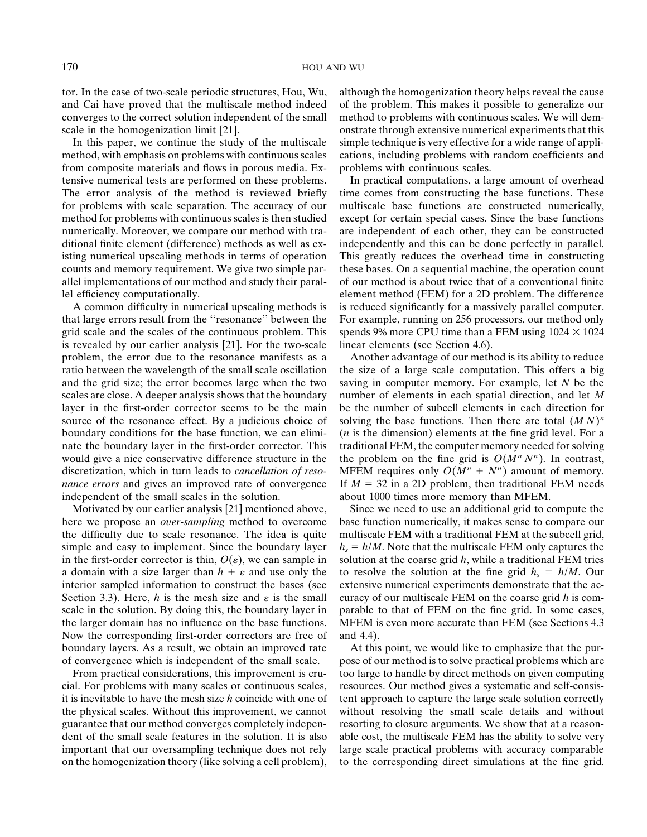tor. In the case of two-scale periodic structures, Hou, Wu, although the homogenization theory helps reveal the cause and Cai have proved that the multiscale method indeed of the problem. This makes it possible to generalize our converges to the correct solution independent of the small method to problems with continuous scales. We will demscale in the homogenization limit [21]. onstrate through extensive numerical experiments that this

method, with emphasis on problems with continuous scales cations, including problems with random coefficients and from composite materials and flows in porous media. Ex- problems with continuous scales. tensive numerical tests are performed on these problems. In practical computations, a large amount of overhead The error analysis of the method is reviewed briefly time comes from constructing the base functions. These for problems with scale separation. The accuracy of our multiscale base functions are constructed numerically, method for problems with continuous scales is then studied except for certain special cases. Since the base functions numerically. Moreover, we compare our method with tra- are independent of each other, they can be constructed ditional finite element (difference) methods as well as ex- independently and this can be done perfectly in parallel. isting numerical upscaling methods in terms of operation This greatly reduces the overhead time in constructing counts and memory requirement. We give two simple par- these bases. On a sequential machine, the operation count allel implementations of our method and study their paral- of our method is about twice that of a conventional finite lel efficiency computationally. element method (FEM) for a 2D problem. The difference

that large errors result from the ''resonance'' between the For example, running on 256 processors, our method only grid scale and the scales of the continuous problem. This spends 9% more CPU time than a FEM using  $1024 \times 1024$ is revealed by our earlier analysis [21]. For the two-scale linear elements (see Section 4.6). problem, the error due to the resonance manifests as a Another advantage of our method is its ability to reduce source of the resonance effect. By a judicious choice of solving the base functions. Then there are total  $(M N)^n$ *nance errors* and gives an improved rate of convergence If  $M = 32$  in a 2D problem, then traditional FEM needs independent of the small scales in the solution. about 1000 times more memory than MFEM.

Now the corresponding first-order correctors are free of and 4.4).

In this paper, we continue the study of the multiscale simple technique is very effective for a wide range of appli-

A common difficulty in numerical upscaling methods is is reduced significantly for a massively parallel computer.

ratio between the wavelength of the small scale oscillation the size of a large scale computation. This offers a big and the grid size; the error becomes large when the two saving in computer memory. For example, let *N* be the scales are close. A deeper analysis shows that the boundary number of elements in each spatial direction, and let M layer in the first-order corrector seems to be the main be the number of subcell elements in each direction for boundary conditions for the base function, we can elimi- (*n* is the dimension) elements at the fine grid level. For a nate the boundary layer in the first-order corrector. This traditional FEM, the computer memory needed for solving would give a nice conservative difference structure in the the problem on the fine grid is  $O(M^n N^n)$ . In contrast, discretization, which in turn leads to *cancellation of reso-* MFEM requires only  $O(M^n + N^n)$  amount of memory.

Motivated by our earlier analysis [21] mentioned above, Since we need to use an additional grid to compute the here we propose an *over-sampling* method to overcome base function numerically, it makes sense to compare our the difficulty due to scale resonance. The idea is quite multiscale FEM with a traditional FEM at the subcell grid, simple and easy to implement. Since the boundary layer  $h_s = h/M$ . Note that the multiscale FEM only captures the in the first-order corrector is thin,  $O(\varepsilon)$ , we can sample in solution at the coarse grid *h*, while a traditional FEM tries a domain with a size larger than  $h + \varepsilon$  and use only the to resolve the solution at the fine grid  $h_s = h/M$ . Our interior sampled information to construct the bases (see extensive numerical experiments demonstrate that the ac-Section 3.3). Here, *h* is the mesh size and  $\varepsilon$  is the small curacy of our multiscale FEM on the coarse grid *h* is comscale in the solution. By doing this, the boundary layer in parable to that of FEM on the fine grid. In some cases, the larger domain has no influence on the base functions. MFEM is even more accurate than FEM (see Sections 4.3

boundary layers. As a result, we obtain an improved rate At this point, we would like to emphasize that the purof convergence which is independent of the small scale. pose of our method is to solve practical problems which are From practical considerations, this improvement is cru- too large to handle by direct methods on given computing cial. For problems with many scales or continuous scales, resources. Our method gives a systematic and self-consisit is inevitable to have the mesh size *h* coincide with one of tent approach to capture the large scale solution correctly the physical scales. Without this improvement, we cannot without resolving the small scale details and without guarantee that our method converges completely indepen- resorting to closure arguments. We show that at a reasondent of the small scale features in the solution. It is also able cost, the multiscale FEM has the ability to solve very important that our oversampling technique does not rely large scale practical problems with accuracy comparable on the homogenization theory (like solving a cell problem), to the corresponding direct simulations at the fine grid.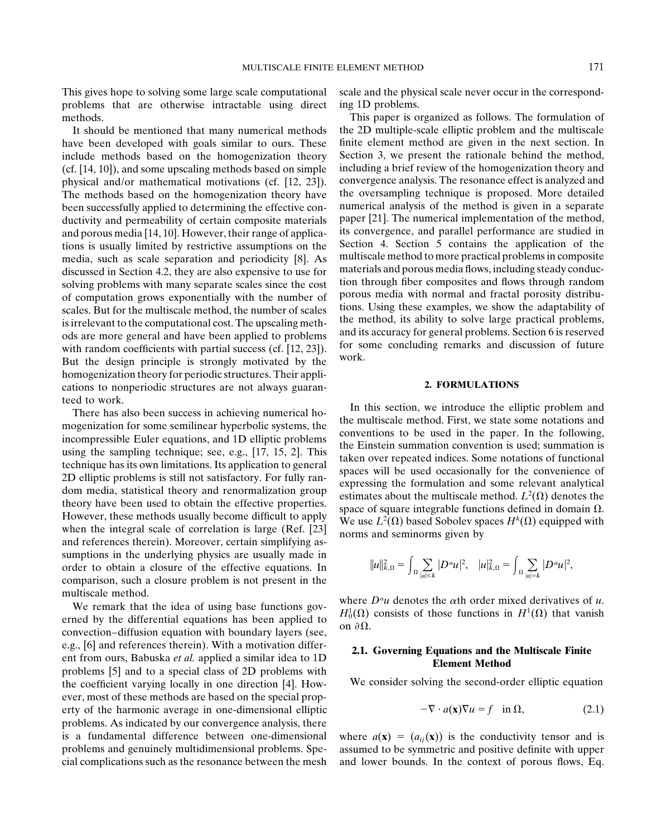problems that are otherwise intractable using direct ing 1D problems.

have been developed with goals similar to ours. These (cf. [14, 10]), and some upscaling methods based on simple including a brief review of the homogenization theory and of computation grows exponentially with the number of porous media with normal and fractal porosity distribu-<br>scales. But for the multiscale method, the number of scales<br>is irrelevant to the computational cost. The upscali homogenization theory for periodic structures. Their appli-**2. FORMULATIONS** cations to nonperiodic structures are not always guaran-

when the integral scale of correlation is large (Ref.  $[23]$  norms and seminorms given by and references therein). Moreover, certain simplifying assumptions in the underlying physics are usually made in order to obtain a closure of the effective equations. In comparison, such a closure problem is not present in the

erned by the differential equations has been applied to convection–diffusion equation with boundary layers (see, e.g., [6] and references therein). With a motivation differ-<br>ent from ours, Babuska *et al.* applied a similar idea to 1D<br>problems [5] and to a special class of 2D problems with<br>the coefficient varying locally in one direc the coefficient varying locally in one direction [4]. However, most of these methods are based on the special property of the harmonic average in one-dimensional elliptic problems. As indicated by our convergence analysis, there is a fundamental difference between one-dimensional where  $a(\mathbf{x}) = (a_{ii}(\mathbf{x}))$  is the conductivity tensor and is problems and genuinely multidimensional problems. Spe- assumed to be symmetric and positive definite with upper cial complications such as the resonance between the mesh and lower bounds. In the context of porous flows, Eq.

This gives hope to solving some large scale computational scale and the physical scale never occur in the correspond-

methods. This paper is organized as follows. The formulation of It should be mentioned that many numerical methods the 2D multiple-scale elliptic problem and the multiscale we been developed with goals similar to ours. These finite element method are given in the next section. In include methods based on the homogenization theory Section 3, we present the rationale behind the method, physical and/or mathematical motivations (cf. [12, 23]). convergence analysis. The resonance effect is analyzed and The methods based on the homogenization theory have the oversampling technique is proposed. More detailed been successfully applied to determining the effective con-<br>numerical analysis of the method is given in a separate been successfully applied to determining the effective con-<br>ductivity and permeability of certain composite materials paper [21]. The numerical implementation of the method, ductivity and permeability of certain composite materials paper [21]. The numerical implementation of the method, and porous media [14, 10]. However, their range of applica-<br>its convergence, and parallel performance are st and porous media [14, 10]. However, their range of applica-<br>tions is usually limited by restrictive assumptions on the Section 4. Section 5 contains the application of the tions is usually limited by restrictive assumptions on the Section 4. Section 5 contains the application of the<br>media such as scale separation and periodicity [8] As multiscale method to more practical problems in composit media, such as scale separation and periodicity [8]. As multiscale method to more practical problems in composite<br>discussed in Section 4.2, they are also expensive to use for materials and porous media flows, including ste discussed in Section 4.2, they are also expensive to use for materials and porous media flows, including steady conduc-<br>solving problems with many separate scales since the cost tion through fiber composites and flows thro solving problems with many separate scales since the cost<br>of computation grows exponentially with the number of porous media with normal and fractal porosity distribu-

teed to work.<br>There has also been success in achieving numerical homogenization for some semilinear hyperbolic systems, the<br>incompressible Euler equations, and 1D elliptic problems<br>using the sampling technique; see, e.g., dom media, statistical theory and renormalization group<br>theory have been used to obtain the effective properties.<br>However, these methods usually become difficult to apply<br>we use  $L^2(\Omega)$  based Sobolev spaces  $H^k(\Omega)$  equi We use  $L^2(\Omega)$  based Sobolev spaces  $H^k(\Omega)$  equipped with

$$
||u||_{k,\Omega}^2 = \int_{\Omega} \sum_{|\alpha| \leq k} |D^{\alpha}u|^2, \quad |u|_{k,\Omega}^2 = \int_{\Omega} \sum_{|\alpha|=k} |D^{\alpha}u|^2,
$$

multiscale method.<br>We remark that the idea of using base functions gov-<br> $H_1(Q)$  denotes the ath order mixed derivatives of *u*.  $H_0^1(\Omega)$  consists of those functions in  $H^1(\Omega)$  that vanish

$$
-\nabla \cdot a(\mathbf{x}) \nabla u = f \quad \text{in } \Omega,\tag{2.1}
$$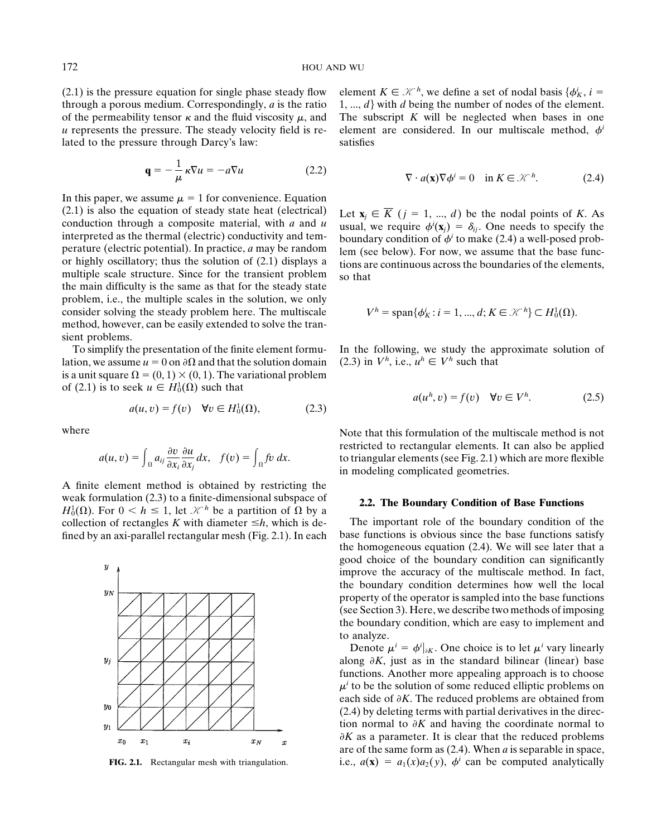$(2.1)$  is the pressure equation for single phase steady flow through a porous medium. Correspondingly, *a* is the ratio lated to the pressure through Darcy's law: satisfies

$$
\mathbf{q} = -\frac{1}{\mu} \kappa \nabla u = -a \nabla u \qquad (2.2) \qquad \nabla \cdot a(\mathbf{x}) \nabla \phi^i = 0 \quad \text{in } K \in \mathcal{K}^h
$$

In this paper, we assume  $\mu = 1$  for convenience. Equation (2.1) is also the equation of steady state heat (electrical) Let  $\mathbf{x}_j \in \overline{K}$  ( $j = 1, ..., d$ ) be the nodal points of *K*. As conduction through a composite material, with *a* and *u* usual, we require  $\phi^i(\mathbf{x}_i) = \delta_{ij}$ . conduction through a composite material, with  $a$  and  $u$  interpreted as the thermal (electric) conductivity and teminterpreted as the thermal (electric) conductivity and tem-<br>perature (electric potential). In practice, a may be random<br>or highly oscillatory; thus the solution of (2.1) displays a<br>incorporations are continuous across the multiple scale structure. Since for the transient problem so that the main difficulty is the same as that for the steady state problem, i.e., the multiple scales in the solution, we only consider solving the steady problem here. The multiscale method, however, can be easily extended to solve the transient problems.

lation, we assume  $u = 0$  on  $\partial \Omega$  and that the solution domain is a unit square  $\Omega = (0, 1) \times (0, 1)$ . The variational problem of (2.1) is to seek  $u \in H_0^1(\Omega)$  such that

$$
a(u, v) = f(v) \quad \forall v \in H_0^1(\Omega), \tag{2.3}
$$

$$
a(u, v) = \int_{\Omega} a_{ij} \frac{\partial v}{\partial x_i} \frac{\partial u}{\partial x_j} dx, \quad f(v) = \int_{\Omega} fv \ dx.
$$

A finite element method is obtained by restricting the weak formulation (2.3) to a finite-dimensional subspace of **2.2. The Boundary Condition of Base Functions**  $H_0^1(\Omega)$ . For  $0 < h \le 1$ , let  $\mathcal{K}^h$  be a partition of  $\Omega$  by a collection of rectangles *K* with diameter  $\leq h$ , which is de-<br>fined by an axi-parallel rectangular mesh (Fig. 2.1). In each base functions is obvious since the base functions satisfy fined by an axi-parallel rectangular mesh (Fig. 2.1). In each



, we define a set of nodal basis  $\{\phi_K^i, i =$  $1, ..., d$  with *d* being the number of nodes of the element. of the permeability tensor  $\kappa$  and the fluid viscosity  $\mu$ , and The subscript K will be neglected when bases in one u represents the pressure. The steady velocity field is re- element are considered. In our multiscale method,  $\phi^i$ 

$$
\nabla \cdot a(\mathbf{x}) \nabla \phi^i = 0 \quad \text{in } K \in \mathcal{K}^h. \tag{2.4}
$$

$$
V^h = \text{span}\{\phi_K^i : i = 1, ..., d; K \in \mathcal{K}^h\} \subset H_0^1(\Omega).
$$

To simplify the presentation of the finite element formu- In the following, we study the approximate solution of (2.3) in  $V^h$ , i.e.,  $u^h \in V^h$  such that

$$
a(u^h, v) = f(v) \quad \forall v \in V^h. \tag{2.5}
$$

where Note that this formulation of the multiscale method is not restricted to rectangular elements. It can also be applied to triangular elements (see Fig. 2.1) which are more flexible in modeling complicated geometries.

the homogeneous equation (2.4). We will see later that a good choice of the boundary condition can significantly improve the accuracy of the multiscale method. In fact, the boundary condition determines how well the local property of the operator is sampled into the base functions (see Section 3). Here, we describe two methods of imposing the boundary condition, which are easy to implement and to analyze.

Denote  $\mu^i = \phi^i|_{\partial K}$ . One choice is to let  $\mu^i$  vary linearly along  $\partial K$ , just as in the standard bilinear (linear) base functions. Another more appealing approach is to choose  $\mu^{i}$  to be the solution of some reduced elliptic problems on each side of  $\partial K$ . The reduced problems are obtained from (2.4) by deleting terms with partial derivatives in the direction normal to  $\partial K$  and having the coordinate normal to  $\partial K$  as a parameter. It is clear that the reduced problems are of the same form as (2.4). When *a* is separable in space, **FIG. 2.1.** Rectangular mesh with triangulation. i.e.,  $a(\mathbf{x}) = a_1(x)a_2(y)$ ,  $\phi^i$  can be computed analytically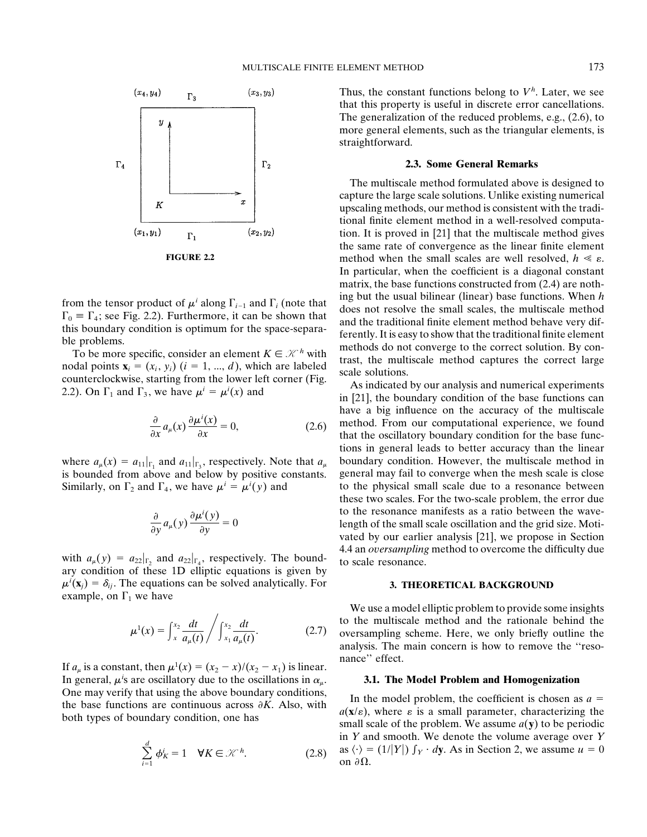

$$
\frac{\partial}{\partial x} a_{\mu}(x) \frac{\partial \mu^{i}(x)}{\partial x} = 0, \qquad (2.6)
$$

is bounded from above and below by positive constants. general may fail to converge when the mesh scale is close Similarly, on  $\Gamma_2$  and  $\Gamma_4$ , we have  $\mu^i = \mu^i(y)$  and

$$
\frac{\partial}{\partial y}a_{\mu}(y)\frac{\partial \mu^{i}(y)}{\partial y}=0
$$

ary condition of these 1D elliptic equations is given by  $\mu^{i}(\mathbf{x}_{j}) = \delta_{ij}$ . The equations can be solved analytically. For **3. THEORETICAL BACKGROUND** example, on  $\Gamma_1$  we have

$$
\mu^{1}(x) = \int_{x}^{x_{2}} \frac{dt}{a_{\mu}(t)} / \int_{x_{1}}^{x_{2}} \frac{dt}{a_{\mu}(t)}.
$$
 (2.7)

If  $a_{\mu}$  is a constant, then  $\mu^{1}(x) = (x_{2} - x)/(x_{2} - x_{1})$  is linear. In general,  $\mu$ 's are oscillatory due to the oscillations in  $\alpha_{\mu}$ . **3.1. The Model Problem and Homogenization** One may verify that using the above boundary conditions,<br>the base functions are continuous across  $\partial K$ . Also, with<br>both types of boundary condition, one has<br>both types of boundary condition, one has<br>small scale of the pr

$$
\sum_{i=1}^{d} \phi_K^i = 1 \quad \forall K \in \mathcal{K}^h. \tag{2.8}
$$

Thus, the constant functions belong to  $V^h$ . Later, we see that this property is useful in discrete error cancellations. The generalization of the reduced problems, e.g., (2.6), to more general elements, such as the triangular elements, is straightforward.

# **2.3. Some General Remarks**

The multiscale method formulated above is designed to capture the large scale solutions. Unlike existing numerical upscaling methods, our method is consistent with the traditional finite element method in a well-resolved computation. It is proved in [21] that the multiscale method gives the same rate of convergence as the linear finite element **FIGURE 2.2** method when the small scales are well resolved,  $h \ll \varepsilon$ . In particular, when the coefficient is a diagonal constant matrix, the base functions constructed from (2.4) are nothfrom the tensor product of  $\mu^i$  along  $\Gamma_{i-1}$  and  $\Gamma_i$  (note that  $\Gamma_0 = \Gamma_4$ ; see Fig. 2.2). Furthermore, it can be shown that does not resolve the small scales, the multiscale method and the traditional finite elem

2.2). On  $\Gamma_1$  and  $\Gamma_3$ , we have  $\mu^i = \mu^i(x)$  and  $\mu^i = \mu^i(x)$  and  $\Gamma_1$  in [21], the boundary condition of the base functions can have a big influence on the accuracy of the multiscale method. From our computational experience, we found that the oscillatory boundary condition for the base functions in general leads to better accuracy than the linear where  $a_{\mu}(x) = a_{11}|_{\Gamma_1}$  and  $a_{11}|_{\Gamma_3}$ , respectively. Note that  $a_{\mu}$  boundary condition. However, the multiscale method in to the physical small scale due to a resonance between these two scales. For the two-scale problem, the error due to the resonance manifests as a ratio between the wave length of the small scale oscillation and the grid size. Motivated by our earlier analysis [21], we propose in Section with  $a_{\mu}(y) = a_{22}|_{\Gamma_2}$  and  $a_{22}|_{\Gamma_3}$ , respectively. The bound-<br>to scale resonance.

We use a model elliptic problem to provide some insights to the multiscale method and the rationale behind the oversampling scheme. Here, we only briefly outline the analysis. The main concern is how to remove the ''resonance'' effect.

in *Y* and smooth. We denote the volume average over *Y* as  $\langle \cdot \rangle$  = (1/|*Y*|)  $\int_Y \cdot dy$ . As in Section 2, we assume  $u = 0$ on  $\partial \Omega$ .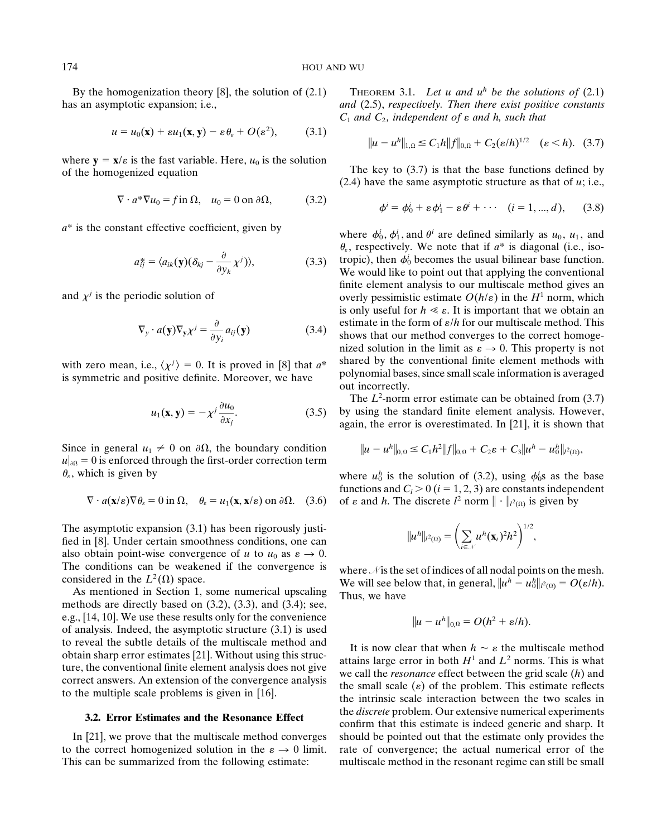has an asymptotic expansion; i.e., *and* (2.5), *respectively. Then there exist positive constants* 

$$
u = u_0(\mathbf{x}) + \varepsilon u_1(\mathbf{x}, \mathbf{y}) - \varepsilon \theta_{\varepsilon} + O(\varepsilon^2), \quad (3.1)
$$

where  $y = x/\varepsilon$  is the fast variable. Here,  $u_0$  is the solution

$$
\nabla \cdot a^* \nabla u_0 = f \text{ in } \Omega, \quad u_0 = 0 \text{ on } \partial \Omega,
$$
 (3.2) 
$$
\phi^i = \phi^i_0
$$

 $a^*$  is the constant effective coefficient, given by

$$
a_{ij}^* = \langle a_{ik}(\mathbf{y})(\delta_{kj} - \frac{\partial}{\partial y_k} \chi^j) \rangle, \tag{3.3}
$$

$$
\nabla_{\mathbf{y}} \cdot a(\mathbf{y}) \nabla_{\mathbf{y}} \chi^{j} = \frac{\partial}{\partial y_{i}} a_{ij}(\mathbf{y})
$$
(3.4)

$$
u_1(\mathbf{x}, \mathbf{y}) = -\chi^j \frac{\partial u_0}{\partial x_j}.
$$
 (3.5)

Since in general  $u_1 \neq 0$  on  $\partial \Omega$ , the boundary condition  $u|_{\partial\Omega} = 0$  is enforced through the first-order correction term  $\theta_{\varepsilon}$ , which is given by

$$
\nabla \cdot a(\mathbf{x}/\varepsilon) \nabla \theta_{\varepsilon} = 0 \text{ in } \Omega, \quad \theta_{\varepsilon} = u_1(\mathbf{x}, \mathbf{x}/\varepsilon) \text{ on } \partial \Omega. \quad (3.6)
$$

The asymptotic expansion  $(3.1)$  has been rigorously justified in [8]. Under certain smoothness conditions, one can also obtain point-wise convergence of *u* to  $u_0$  as  $\varepsilon \to 0$ .<br>The conditions can be weakened if the convergence is

considered in the  $L^2(\Omega)$  space.<br>As mentioned in Section 1, some numerical upscaling Thus, we have methods are directly based on (3.2), (3.3), and (3.4); see, e.g., [14, 10]. We use these results only for the convenience of analysis. Indeed, the asymptotic structure (3.1) is used

By the homogenization theory [8], the solution of  $(2.1)$  THEOREM 3.1. *Let u and u<sup>h</sup> be the solutions of*  $(2.1)$  $C_1$  *and*  $C_2$ *, independent of*  $\varepsilon$  *and h, such that* 

$$
||u - uh||_{1,\Omega} \le C_1 h||f||_{0,\Omega} + C_2(\varepsilon/h)^{1/2} \quad (\varepsilon < h). \tag{3.7}
$$

of the homogenized equation The key to  $(3.7)$  is that the base functions defined by  $(2.4)$  have the same asymptotic structure as that of *u*; i.e.,

$$
\phi^{i} = \phi^{i}_{0} + \varepsilon \phi^{i}_{1} - \varepsilon \theta^{i} + \cdots \quad (i = 1, ..., d), \quad (3.8)
$$

 $\phi_0^i, \phi_1^i$ , and  $\theta^i$  are defined similarly as  $u_0, u_1$ , and  $\theta_{\varepsilon}$ , respectively. We note that if  $a^*$  is diagonal (i.e., isofigure 1) tropic), then  $\phi_0^i$  becomes the usual bilinear base function. We would like to point out that applying the conventional finite element analysis to our multiscale method gives an and  $\chi^j$  is the periodic solution of overly pessimistic estimate  $O(h/\varepsilon)$  in the *H*<sup>1</sup> norm, which is only useful for  $h \le \varepsilon$ . It is important that we obtain an estimate in the form of  $\varepsilon/h$  for our multiscale method. This shows that our method converges to the correct homogenized solution in the limit as  $\varepsilon \to 0$ . This property is not with zero mean, i.e.,  $\langle \chi^{j} \rangle = 0$ . It is proved in [8] that  $a^*$  shared by the conventional finite element methods with It is symmetric and positive definite. Moreover, we have polynomial bases, since small scale information is averaged out incorrectly.

> The  $L^2$ -norm error estimate can be obtained from  $(3.7)$ by using the standard finite element analysis. However, again, the error is overestimated. In [21], it is shown that

$$
|u - u^h||_{0,\Omega} \le C_1 h^2 ||f||_{0,\Omega} + C_2 \varepsilon + C_3 ||u^h - u^h||_{l^2(\Omega)},
$$

 $h_0^h$  is the solution of (3.2), using  $\phi_0^i$  as the base functions and  $C_i > 0$  ( $i = 1, 2, 3$ ) are constants independent  $\nabla \cdot a(\mathbf{x}/\varepsilon) \nabla \theta_{\varepsilon} = 0$  in  $\Omega$ ,  $\theta_{\varepsilon} = u_1(\mathbf{x}, \mathbf{x}/\varepsilon)$  on  $\partial \Omega$ . (3.6) of  $\varepsilon$  and *h*. The discrete *l*<sup>2</sup> norm  $\|\cdot\|_{l^2(\Omega)}$  is given by

$$
||u^h||_{l^2(\Omega)} = \left(\sum_{i \in \mathcal{N}} u^h(\mathbf{x}_i)^2 h^2\right)^{1/2},
$$

The conditions can be weakened if the convergence is where  $\mathcal{N}$  is the set of indices of all nodal points on the mesh.<br>considered in the  $L^2(\Omega)$  space. We will see below that, in general,  $||u^h - u_0^h||_{l^2(\Omega)} = O(\varepsilon/h)$ 

$$
||u - u^h||_{0,\Omega} = O(h^2 + \varepsilon/h).
$$

to reveal the subtle details of the multiscale method and<br>obtain sharp error estimates [21]. Without using this struc-<br>ture, the conventional finite element analysis does not give<br>correct answers. An extension of the conv **3.2. Error Estimates and the Resonance Effect** the *discrete* problem. Our extensive numerical experiments confirm that this estimate is indeed generic and sharp. It In [21], we prove that the multiscale method converges should be pointed out that the estimate only provides the to the correct homogenized solution in the  $\varepsilon \to 0$  limit. rate of convergence; the actual numerical error of the This can be summarized from the following estimate: multiscale method in the resonant regime can still be small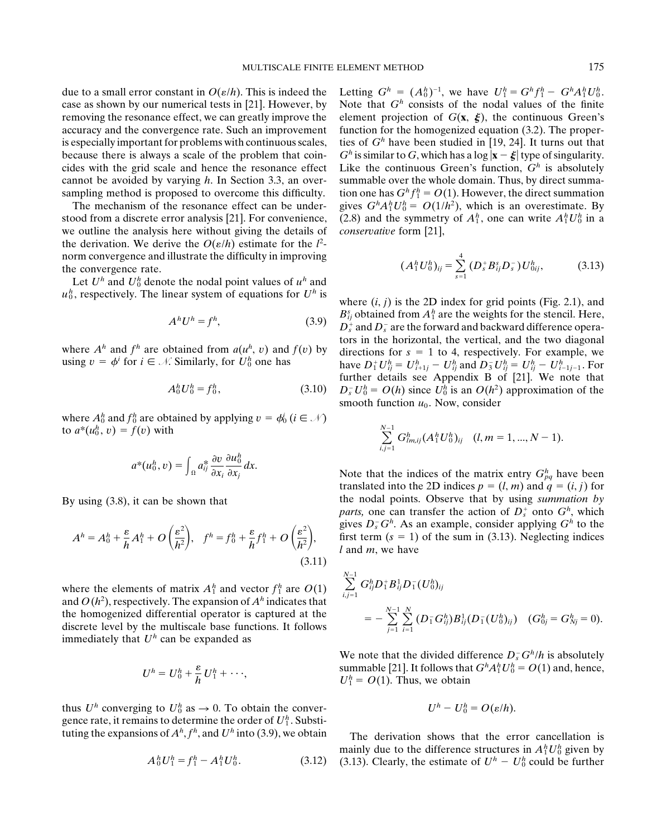due to a small error constant in  $O(\varepsilon/h)$ . This is indeed the case as shown by our numerical tests in [21]. However, by Note that  $G<sup>h</sup>$  consists of the nodal values of the finite removing the resonance effect, we can greatly improve the element projection of  $G(\mathbf{x}, \xi)$ , the continuous Green's accuracy and the convergence rate. Such an improvement function for the homogenized equation (3.2). The properis especially important for problems with continuous scales, ties of  $G<sup>h</sup>$  have been studied in [19, 24]. It turns out that because there is always a scale of the problem that coin-  $G<sup>h</sup>$  is similar to *G*, which has a log  $|\mathbf{x} - \boldsymbol{\xi}|$  type of singularity. cides with the grid scale and hence the resonance effect Like the continuous Green's function, *G<sup>h</sup>* is absolutely cannot be avoided by varying *h*. In Section 3.3, an over- summable over the whole domain. Thus, by direct summasampling method is proposed to overcome this difficulty.

stood from a discrete error analysis [21]. For convenience, we outline the analysis here without giving the details of *conservative* form [21], the derivation. We derive the  $O(\varepsilon/h)$  estimate for the  $l^2$ norm convergence and illustrate the difficulty in improving<br>the convergence rate the convergence rate.

Let  $U^h$  and  $U^h_0$  denote the nodal point values of  $u^h$  and  $u_0^h$ , respectively. The linear system of equations for  $U^h$  is where  $(i, j)$  is the 2D index for grid points (Fig. 2.1), and

$$
A^h U^h = f^h, \tag{3.9} \qquad \begin{array}{c} D_{ij} \\ D_s^+ \end{array}
$$

where *A*<sup>*r*</sup> and *f*<sup>*'*</sup> are obtained from  $a(u^r, v)$  and  $f(v)$  by directions for  $s = 1$  to 4, respectively. For example, we using  $v = \phi^i$  for  $i \in \mathcal{N}$ . Similarly, for  $U_0^h$  one has have  $D \tau U_0^h = U_0^h$ ,  $i = U_0^h$ 

$$
A_0^h U_0^h = f_0^h, \tag{3.10} \qquad D_s^-
$$

where  $A_0^h$  and  $f_0^h$  are obtained by applying  $v = \phi_0^i$  ( $i \in \mathcal{N}$ ) to  $a^*(u_0^h, v) = f(v)$  with  $\sum_{i=1}^{N-1}$ 

$$
a^*(u_0^h, v) = \int_{\Omega} a_{ij}^* \frac{\partial v}{\partial x_i} \frac{\partial u_0^h}{\partial x_j} dx
$$

$$
A^{h} = A_{0}^{h} + \frac{\varepsilon}{h} A_{1}^{h} + O\left(\frac{\varepsilon^{2}}{h^{2}}\right), \quad f^{h} = f_{0}^{h} + \frac{\varepsilon}{h} f_{1}^{h} + O\left(\frac{\varepsilon^{2}}{h^{2}}\right),\tag{3.11}
$$

where the elements of matrix  $A_1^h$  and vector  $f_1^h$  are  $O(1)$   $\sum_{i,j=1}^{n} G_{ij}^h D_1^+ B_{ij}^1 D_1^- (U_0^h)_{ij}$ and  $O(h^2)$ , respectively. The expansion of  $A^h$  indicates that the homogenized differential operator is captured at the discrete level by the multiscale base functions. It follows immediately that  $U^h$  can be expanded as

$$
U^h = U_0^h + \frac{\varepsilon}{h} U_1^h + \cdots,
$$
   
 
$$
U_1^h
$$

thus  $U^h$  converging to  $U^h_0$  as  $\rightarrow 0$ . To obtain the conver-  $U^h - U^h_0$ gence rate, it remains to determine the order of *U<sup>h</sup>* <sup>1</sup> . Substituting the expansions of  $A^h$ ,  $f^h$ 

$$
A_0^h U_1^h = f_1^h - A_1^h U_0^h. \tag{3.12}
$$

 $U_1^h = G^h f_1^h - G^h A_1^h U_0^h$ . tion one has  $G<sup>h</sup>f<sub>1</sub><sup>h</sup> = O(1)$ . However, the direct summation The mechanism of the resonance effect can be under- gives  $G^h A_1^h U_0^h = O(1/h^2)$ , which is an overestimate. By  $n_1^h$ , one can write  $A_1^h U_0^h$  in a

$$
(A_1^h U_0^h)_{ij} = \sum_{s=1}^4 (D_s^+ B_{ij}^s D_s^-) U_{0ij}^h, \qquad (3.13)
$$

 $A^h U^h = f^h$ , (3.9)  $B^s_i$  obtained from  $A^h_i$  are the weights for the stencil. Here,  $A^h U^h = f^h$ ,  $s^{\scriptscriptstyle +}$  and  $D_s^-$  are the forward and backward difference operators in the horizontal, the vertical, and the two diagonal where  $A^h$  and  $f^h$  are obtained from  $a(u^h, v)$  and  $f(v)$  by directions for  $s = 1$  to 4 respectively. For example we h one has have  $D_1^{\dagger} U_{ij}^h = U_{i+1j}^h - U_{ij}^h$  and  $D_3^- U_{ij}^h = U_{ij}^h - U_{i-1j-1}^h$ . For further details see Appendix B of [21]. We note that  $S_V^U U_0^h = O(h)$  since  $U_0^h$  is an  $O(h^2)$  approximation of the smooth function  $u_0$ . Now, consider

$$
\sum_{i,j=1}^{N-1} G_{lm,ij}^h (A_1^h U_0^h)_{ij} \quad (l,m=1,...,N-1).
$$

*dx*. Note that the indices of the matrix entry  $G_{pq}^h$  have been translated into the 2D indices  $p = (l, m)$  and  $q = (i, j)$  for By using (3.8), it can be shown that the nodal points. Observe that by using *summation by parts*, one can transfer the action of  $D_s^+$  onto  $G^h$ , which gives  $D_s^- G^h$ . As an example, consider applying  $G^h$  to the first term  $(s = 1)$  of the sum in (3.13). Neglecting indices *l* and *m*, we have

$$
\sum_{i,j=1}^{N-1} G_{ij}^h D_1^+ B_{ij}^1 D_1^- (U_0^h)_{ij}
$$
  
= 
$$
- \sum_{j=1}^{N-1} \sum_{i=1}^N (D_1^- G_{ij}^h) B_{ij}^1 (D_1^- (U_0^h)_{ij}) \quad (G_{0j}^h = G_{Nj}^h = 0).
$$

We note that the divided difference  $D_s^- G^h/h$  is absolutely  $U^h = U^h_0 + \frac{\varepsilon}{L} U^h_1 + \cdots,$  summable [21]. It follows that  $G^h A_1^h U_0^h = O(1)$  and, hence,  $U_1^h = O(1)$ . Thus, we obtain

$$
U^h-U_0^h=O(\varepsilon/h).
$$

The derivation shows that the error cancellation is mainly due to the difference structures in  $A_1^h U_0^h$  given by  $0^h$ . (3.12) (3.13). Clearly, the estimate of  $U^h - U^h_0$  could be further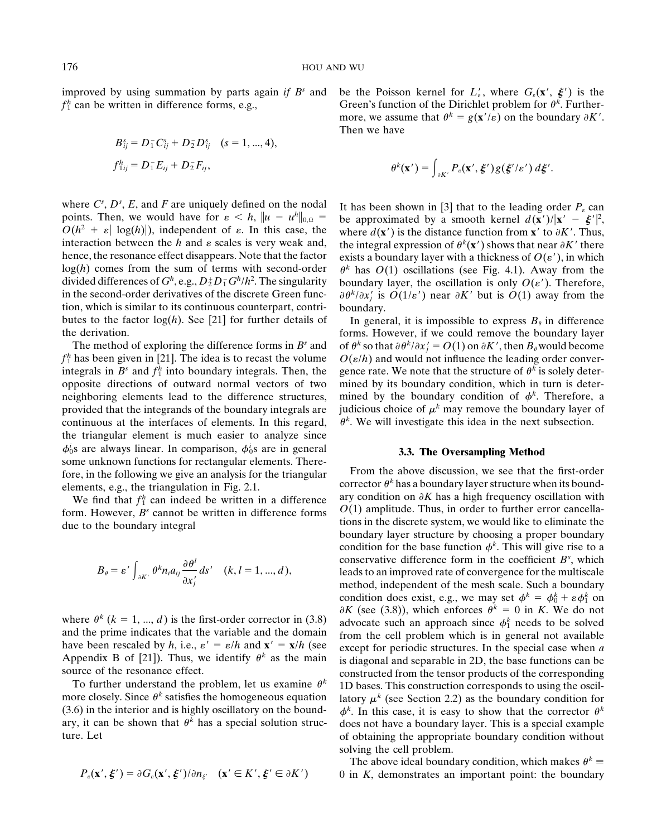improved by using summation by parts again *if*  $B^s$  and  $f_1^h$  can be written in difference forms, e.g.,

$$
B_{ij}^{s} = D_{1}^{-}C_{ij}^{s} + D_{2}^{-}D_{ij}^{s} \quad (s = 1, ..., 4),
$$
  
\n
$$
f_{1ij}^{h} = D_{1}^{-}E_{ij} + D_{2}^{-}F_{ij},
$$
\n
$$
\theta^{k}
$$

where *C<sup>s</sup>* , *D<sup>s</sup>* where  $C^s$ ,  $D^s$ ,  $E$ , and  $F$  are uniquely defined on the nodal It has been shown in [3] that to the leading order  $P_s$  can points. Then, we would have for  $\varepsilon < h$ ,  $||u - u^h||_{0,\Omega} =$  be approximated by a smooth kernel  $d$ points. Then, we would have for  $\varepsilon < h$ ,  $\|u - u^h\|_{0,\Omega} = \emptyset$  be approximated by a smooth kernel  $d(\mathbf{x}')/|\mathbf{x}' - \mathbf{y}'|^2$ interaction between the  $h$  and  $\varepsilon$  scales is very weak and, hence, the resonance effect disappears. Note that the factor divided differences of  $G^h$ , e.g.,  $D_2^+ D_1^- G^h / h^2$ tion, which is similar to its continuous counterpart, contri- boundary. butes to the factor  $log(h)$ . See [21] for further details of In general, it is impossible to express  $B_{\theta}$  in difference

 $f_1^h$  has been given in [21]. The idea is to recast the volume integrals in  $B^s$  and  $f_1^h$  into boundary integrals. Then, the continuous at the interfaces of elements. In this regard,  $\theta^k$ . We will investigate this idea in the next subsection. the triangular element is much easier to analyze since  $\phi_0^i$ s are always linear. In comparison,  $\phi_0^i$  $\phi_0$ 's are always inear. In comparison,  $\phi_0$ 's are in general **3.3. The Oversampling Method**<br>some unknown functions for rectangular elements. There-<br>fore, in the following we give an analysis for the triangular From t

$$
B_{\theta} = \varepsilon' \int_{\partial K'} \theta^k n_i a_{ij} \frac{\partial \theta^l}{\partial x'_j} ds' \quad (k, l = 1, ..., d)
$$

where  $\theta^k$  ( $k = 1, ..., d$ ) is the first-order corrector in (3.8) and the prime indicates that the variable and the domain

(3.6) in the interior and is highly oscillatory on the bound-<br>ary, it can be shown that  $\theta^k$  has a special solution struc-

$$
P_{\varepsilon}(\mathbf{x}', \boldsymbol{\xi}') = \partial G_{\varepsilon}(\mathbf{x}', \boldsymbol{\xi}') / \partial n_{\xi'} \quad (\mathbf{x}' \in K', \boldsymbol{\xi}' \in \partial K')
$$

be the Poisson kernel for  $L'_{\varepsilon}$ , where  $G_{\varepsilon}(\mathbf{x}', \xi')$  is the Green's function of the Dirichlet problem for  $\theta^k$ . Furthermore, we assume that  $\theta^k = g(\mathbf{x}'/\varepsilon)$  on the boundary  $\partial K'$ . Then we have

$$
\theta^k(\mathbf{x}') = \int_{\partial K'} P_{\varepsilon}(\mathbf{x}', \xi') g(\xi'/\varepsilon') d\xi'.
$$

 $O(h^2 + \varepsilon |\log(h)|)$ , independent of  $\varepsilon$ . In this case, the where  $d(\mathbf{x}')$  is the distance function from  $\mathbf{x}'$  to  $\partial K'$ . Thus, the integral expression of  $\theta^{k}(\mathbf{x}')$  shows that near  $\partial K'$  there hence, the resonance effect disappears. Note that the factor exists a boundary layer with a thickness of  $O(\varepsilon')$ , in which  $log(h)$  comes from the sum of terms with second-order  $h^k$  has  $O(1)$  oscillations (see Fig. 4.1).  $\theta^k$  has  $O(1)$  oscillations (see Fig. 4.1). Away from the divided differences of  $G^h$ , e.g.,  $D_2^+D_1^-G^h/h^2$ . The singularity boundary layer, the oscillation is only  $O(\varepsilon')$ . Therefore, in the second-order derivatives of the discrete Green func-<br> $\frac{\partial f}{\partial x}$  is  $O(1/\varepsilon')$  ne  $\partial \theta^k / \partial x_i'$  is  $O(1/\varepsilon')$  near  $\partial K'$  but is  $O(1)$  away from the

the derivation. **forms** forms. However, if we could remove the boundary layer The method of exploring the difference forms in *B<sup>s</sup>* and of  $\theta^k$  so that  $\partial \theta^k/\partial x'_i = O(1)$  on  $\partial K'$ , then  $B_\theta$  would become  $O(\varepsilon/h)$  and would not influence the leading order convergence rate. We note that the structure of  $\theta^k$  is solely deteropposite directions of outward normal vectors of two mined by its boundary condition, which in turn is deterneighboring elements lead to the difference structures, mined by the boundary condition of  $\phi^k$ . Therefore, a provided that the integrands of the boundary integrals are *judicious* choice of  $\mu^k$  may remove the boundary layer of

elements, e.g., the triangulation in Fig. 2.1. corrector  $\theta^k$  has a boundary layer structure when its bound-<br>We find that  $f^h$  can indeed be written in a difference ary condition on  $\partial K$  has a high frequency oscillati We find that  $f_1^h$  can indeed be written in a difference ary condition on  $\partial K$  has a high frequency oscillation with form. However,  $B^s$  cannot be written in difference forms  $O(1)$  amplitude. Thus, in order to further error cancella-<br>tions in the discrete system, we would like to eliminate the tions in the discrete system, we would like to eliminate the due to the boundary integral boundary layer structure by choosing a proper boundary condition for the base function  $\phi^k$ . This will give rise to a conservative difference form in the coefficient  $B^s$ , which leads to an improved rate of convergence for the multiscale method, independent of the mesh scale. Such a boundary condition does exist, e.g., we may set  $\phi^k = \phi_0^k + \varepsilon \phi_1^k$  on  $\partial K$  (see (3.8)), which enforces  $\theta^k = 0$  in *K*. We do not advocate such an approach since  $\phi_1^k$  needs to be solved and the prime indicates that the variable and the domain<br>have been rescaled by h, i.e.,  $\varepsilon' = \varepsilon/h$  and  $\mathbf{x}' = \mathbf{x}/h$  (see except for periodic structures. In the special case when a Appendix B of [21]). Thus, we identify  $\theta^k$  as the main is diagonal and separable in 2D, the base functions can be source of the resonance effect. constructed from the tensor products of the corresponding To further understand the problem, let us examine  $\theta^k$  1D bases. This construction corresponds to using the oscil-<br>more closely. Since  $\theta^k$  satisfies the homogeneous equation latory  $\mu^k$  (see Section 2.2) as the bou latory  $\mu^k$  (see Section 2.2) as the boundary condition for  $\phi^k$ . In this case, it is easy to show that the corrector  $\theta^k$ does not have a boundary layer. This is a special example ture. Let of obtaining the appropriate boundary condition without solving the cell problem.

> The above ideal boundary condition, which makes  $\theta^k$  = *P*«(**x**9, j9) 5 *G*«(**x**9, j9)/*n*<sup>j</sup> <sup>9</sup> (**x**9 [ *K*9, j9 [ *K*9) 0 in *K*, demonstrates an important point: the boundary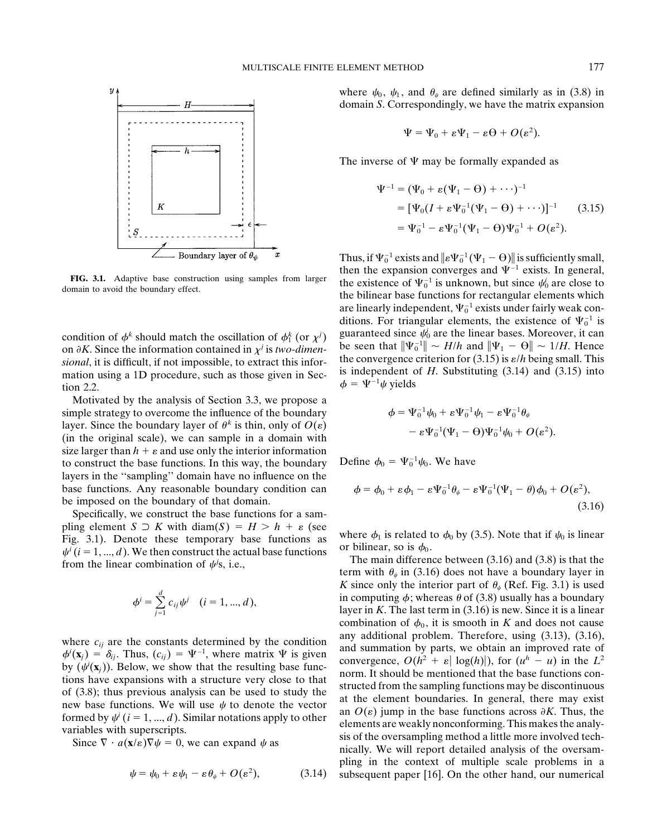

condition of  $\phi^k$  should match the oscillation of  $\phi_1^k$  (or  $\chi^j$ ) guaranteed since  $\psi_0$  are the inference on *R*. Since the information contained in  $\chi^j$  is *two-dimen*-<br>be seen that  $\|\Psi_0^{-1}\| \sim H/h$  and  $\|\Psi_1$ on  $\partial K$ . Since the information contained in  $\chi^j$  is *two-dimen*-<br>*sional*, it is difficult, if not impossible, to extract this infor-<br>mation using a 1D procedure, such as those given in Sec-<br>is independent of *H*. Subs mation using a 1D procedure, such as those given in Section 2.2.  $\phi = \Psi^{-1}\psi$  yields

Motivated by the analysis of Section 3.3, we propose a simple strategy to overcome the influence of the boundary layer. Since the boundary layer of  $\theta^k$  is thin, only of  $O(\varepsilon)$ ). (in the original scale), we can sample in a domain with size larger than  $h + \varepsilon$  and use only the interior information to construct the base functions. In this way, the boundary Define  $\phi_0 = \Psi_0^{-1} \psi_0$ . We have layers in the ''sampling'' domain have no influence on the base functions. Any reasonable boundary condition can be imposed on the boundary of that domain.

Specifically, we construct the base functions for a sampling element  $S \supset K$  with diam( $S$ ) =  $H > h + \varepsilon$  (see<br>Fig. 3.1). Denote these temporary base functions as where  $\phi_1$  is related to  $\phi_0$  by (3.5). Note that if  $\psi_0$  is linear<br> $\psi^i (i = 1, ..., d)$ . We then construct the a

$$
\phi^{i} = \sum_{j=1}^{d} c_{ij} \psi^{j} \quad (i = 1, ..., d),
$$

by  $(\psi^i(\mathbf{x}_i))$ . Below, we show that the resulting base func-

$$
\psi = \psi_0 + \varepsilon \psi_1 - \varepsilon \theta_\psi + O(\varepsilon^2), \tag{3.14}
$$

where  $\psi_0$ ,  $\psi_1$ , and  $\theta_{\psi}$  are defined similarly as in (3.8) in domain *S*. Correspondingly, we have the matrix expansion

$$
\Psi = \Psi_0 + \varepsilon \Psi_1 - \varepsilon \Theta + O(\varepsilon^2).
$$

The inverse of  $\Psi$  may be formally expanded as

$$
\Psi^{-1} = (\Psi_0 + \varepsilon (\Psi_1 - \Theta) + \cdots)^{-1}
$$
  
= [\Psi\_0 (I + \varepsilon \Psi\_0^{-1} (\Psi\_1 - \Theta) + \cdots)]^{-1} (3.15)  
= \Psi\_0^{-1} - \varepsilon \Psi\_0^{-1} (\Psi\_1 - \Theta) \Psi\_0^{-1} + O(\varepsilon^2).

Thus, if  $\Psi_0^{-1}$  exists and  $\| \varepsilon \Psi_0^{-1} (\Psi_1 - \Theta) \|$  is sufficiently small, **FIG. 3.1.** Adaptive base construction using samples from larger then the expansion converges and  $\Psi^{-1}$  exists. In general, the existence of  $\Psi_0^{-1}$  is unknown, but since  $\psi_0^i$  are close to FIG. 3.1. Adaptive base construction using samples from larger the existence of  $\Psi_0^{-1}$  is unknown, but since  $\psi_0^i$  are close to the bilinear base functions for rectangular elements which are linearly independent,  $\Psi_0^{-1}$  exists under fairly weak conditions. For triangular elements, the existence of  $\Psi_0^{-1}$  is guaranteed since  $\psi_0^i$  are the linear bases. Moreover, it can condition of  $\phi^k$  should match the oscillation of  $\phi_1^k$  (or  $\chi^j$ ) guaranteed since  $\psi_0^i$  are the linear bases. Moreover, it can

$$
\phi = \Psi_0^{-1} \psi_0 + \varepsilon \Psi_0^{-1} \psi_1 - \varepsilon \Psi_0^{-1} \theta_\psi
$$

$$
- \varepsilon \Psi_0^{-1} (\Psi_1 - \Theta) \Psi_0^{-1} \psi_0 + O(\varepsilon^2)
$$

$$
\phi = \phi_0 + \varepsilon \phi_1 - \varepsilon \Psi_0^{-1} \theta_\psi - \varepsilon \Psi_0^{-1} (\Psi_1 - \theta) \phi_0 + O(\varepsilon^2),
$$
\n(3.16)

From the linear combination of  $\psi$ 's, i.e., The main difference between (3.16) and (3.8) is that the term with  $\theta_{\psi}$  in (3.16) does not have a boundary layer in *K* since only the interior part of  $\theta_{\psi}$  (Ref. Fig. 3.1) is used in computing  $\phi$ ; whereas  $\theta$  of (3.8) usually has a boundary layer in *K*. The last term in  $(3.16)$  is new. Since it is a linear combination of  $\phi_0$ , it is smooth in *K* and does not cause where  $c_{ij}$  are the constants determined by the condition any additional problem. Therefore, using (3.13), (3.16),  $\phi^i(\mathbf{x}_j) = \delta_{ij}$ . Thus,  $(c_{ij}) = \Psi^{-1}$ , where matrix  $\Psi$  is given and summation by parts, we obtain an and summation by parts, we obtain an improved rate of convergence,  $O(h^2 + \varepsilon |\log(h)|)$ , for  $(u^h - u)$  in the  $L^2$ by ( $\psi(x)$ ). Below, we show that the resulting base rane<br>of (3.8); thus previous analysis can be used to study the<br>new base functions. We will use  $\psi$  to denote the vector<br>of (3.8); thus previous analysis can be used to formed by  $\psi^i$  ( $i = 1, ..., d$ ). Similar notations apply to other<br>variables with superscripts.<br>Since  $\nabla \cdot a(\mathbf{x}/\varepsilon)\nabla \psi = 0$ , we can expand  $\psi$  as<br>since  $\nabla \cdot a(\mathbf{x}/\varepsilon)\nabla \psi = 0$ , we can expand  $\psi$  as pling in the context of multiple scale problems in a subsequent paper [16]. On the other hand, our numerical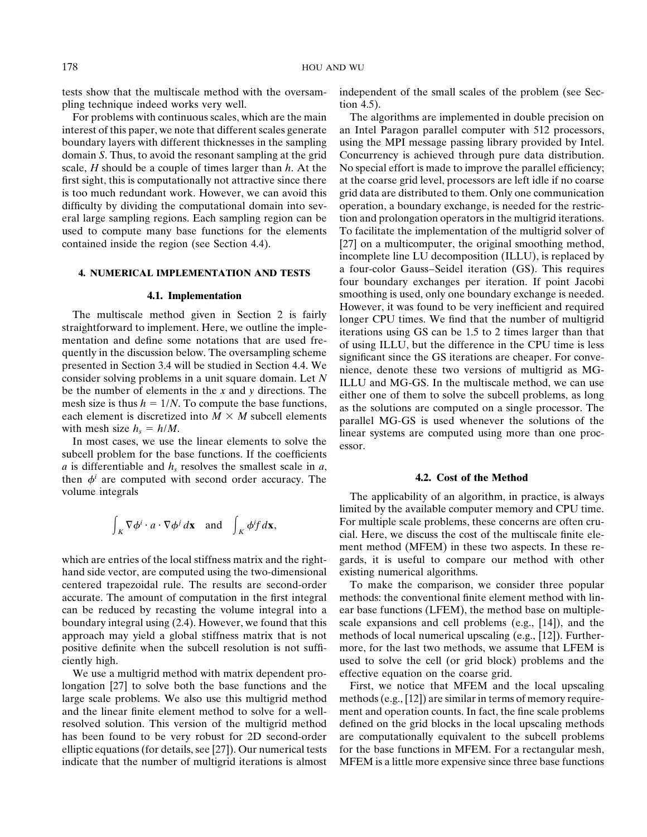pling technique indeed works very well. tion 4.5).

domain *S*. Thus, to avoid the resonant sampling at the grid Concurrency is achieved through pure data distribution. difficulty by dividing the computational domain into sev- operation, a boundary exchange, is needed for the restriceral large sampling regions. Each sampling region can be tion and prolongation operators in the multigrid iterations.

subcell problem for the base functions. If the coefficients *a* is differentiable and  $h_s$  resolves the smallest scale in *a*, then  $\phi^i$  are computed with second order accuracy. The **4.2. Cost of the Method** volume integrals The applicability of an algorithm, in practice, is always

$$
\int_K \nabla \phi^i \cdot a \cdot \nabla \phi^j d\mathbf{x} \text{ and } \int_K \phi^i f d\mathbf{x},
$$

hand side vector, are computed using the two-dimensional existing numerical algorithms. centered trapezoidal rule. The results are second-order To make the comparison, we consider three popular accurate. The amount of computation in the first integral methods: the conventional finite element method with lincan be reduced by recasting the volume integral into a ear base functions (LFEM), the method base on multipleboundary integral using (2.4). However, we found that this scale expansions and cell problems (e.g., [14]), and the approach may yield a global stiffness matrix that is not methods of local numerical upscaling (e.g., [12]). Furtherpositive definite when the subcell resolution is not suffi- more, for the last two methods, we assume that LFEM is ciently high. used to solve the cell (or grid block) problems and the

We use a multigrid method with matrix dependent pro- effective equation on the coarse grid. longation [27] to solve both the base functions and the First, we notice that MFEM and the local upscaling

tests show that the multiscale method with the oversam- independent of the small scales of the problem (see Sec-

For problems with continuous scales, which are the main The algorithms are implemented in double precision on interest of this paper, we note that different scales generate an Intel Paragon parallel computer with 512 processors, boundary layers with different thicknesses in the sampling using the MPI message passing library provided by Intel. scale, *H* should be a couple of times larger than *h*. At the No special effort is made to improve the parallel efficiency; first sight, this is computationally not attractive since there at the coarse grid level, processors are left idle if no coarse is too much redundant work. However, we can avoid this grid data are distributed to them. Only one communication used to compute many base functions for the elements To facilitate the implementation of the multigrid solver of contained inside the region (see Section 4.4). [27] on a multicomputer, the original smoothing method, incomplete line LU decomposition (ILLU), is replaced by a four-color Gauss–Seidel iteration (GS). This requires **4. NUMERICAL IMPLEMENTATION AND TESTS** four boundary exchanges per iteration. If point Jacobi **4.1. Implementation** smoothing is used, only one boundary exchange is needed. The multiscale method given in Section 2 is fairly<br>
Straightforward to implement. Here, we outline the imple-<br>
iterations using GS can be 1.5 to 2 times larger<br>
terations and define some notations that are used fre-<br>
of u

limited by the available computer memory and CPU time. For multiple scale problems, these concerns are often cru*f d***x**, cial. Here, we discuss the cost of the multiscale finite element method (MFEM) in these two aspects. In these rewhich are entries of the local stiffness matrix and the right- gards, it is useful to compare our method with other

large scale problems. We also use this multigrid method methods (e.g.,  $[12]$ ) are similar in terms of memory requireand the linear finite element method to solve for a well- ment and operation counts. In fact, the fine scale problems resolved solution. This version of the multigrid method defined on the grid blocks in the local upscaling methods has been found to be very robust for 2D second-order are computationally equivalent to the subcell problems elliptic equations (for details, see [27]). Our numerical tests for the base functions in MFEM. For a rectangular mesh, indicate that the number of multigrid iterations is almost MFEM is a little more expensive since three base functions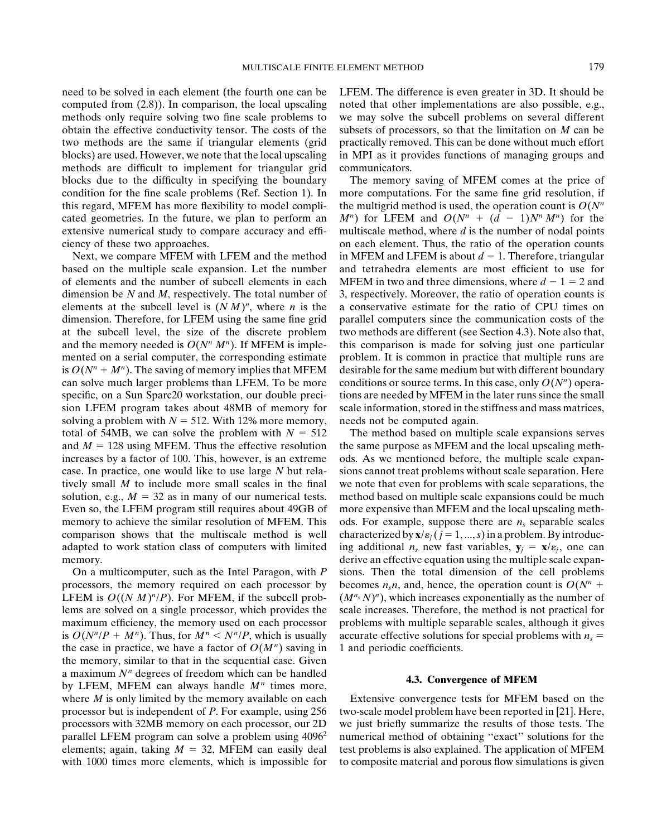computed from (2.8)). In comparison, the local upscaling noted that other implementations are also possible, e.g., methods only require solving two fine scale problems to we may solve the subcell problems on several different obtain the effective conductivity tensor. The costs of the subsets of processors, so that the limitation on *M* can be two methods are the same if triangular elements (grid practically removed. This can be done without much effort blocks) are used. However, we note that the local upscaling in MPI as it provides functions of managing groups and methods are difficult to implement for triangular grid communicators. blocks due to the difficulty in specifying the boundary The memory saving of MFEM comes at the price of condition for the fine scale problems (Ref. Section 1). In more computations. For the same fine grid resolution, if this regard, MFEM has more flexibility to model compli- the multigrid method is used, the operation count is  $O(N^n)$ cated geometries. In the future, we plan to perform an *M<sup>n</sup>*) for LFEM and  $O(N^n + (d - 1)N^n M^n)$  for the extensive numerical study to compare accuracy and effi- multiscale method, where *d* is the number of nodal points ciency of these two approaches. on each element. Thus, the ratio of the operation counts

of elements and the number of subcell elements in each MFEM in two and three dimensions, where  $d - 1 = 2$  and elements at the subcell level is  $(N M)^n$ , where *n* is the mented on a serial computer, the corresponding estimate problem. It is common in practice that multiple runs are is  $O(N^n + M^n)$ . The saving of memory implies that MFEM desirable for the same medium but with different boundary specific, on a Sun Sparc20 workstation, our double preci- tions are needed by MFEM in the later runs since the small solving a problem with  $N = 512$ . With 12% more memory, needs not be computed again.

processors, the memory required on each processor by becomes  $n_s n$ , and, hence, the operation count is  $O(N^n +$ LFEM is  $O((N M)^{n}/P)$ . For MFEM, if the subcell prob-  $(M^{n_s} N)^n$ , which increases exponentially as the number of lems are solved on a single processor, which provides the scale increases. Therefore, the method is not practical for maximum efficiency, the memory used on each processor problems with multiple separable scales, although it gives is  $O(N^n/P + M^n)$ . Thus, for  $M^n \le N^n/P$ , which is usually accurate effective solutions for special problems with  $n_s =$ the case in practice, we have a factor of  $O(M^n)$  saving in 1 and periodic coefficients. the memory, similar to that in the sequential case. Given a maximum *<sup>N</sup><sup>n</sup>* degrees of freedom which can be handled **4.3. Convergence of MFEM** by LFEM, MFEM can always handle *<sup>M</sup><sup>n</sup>* times more, where *M* is only limited by the memory available on each Extensive convergence tests for MFEM based on the processor but is independent of *P*. For example, using 256 two-scale model problem have been reported in [21]. Here, processors with 32MB memory on each processor, our 2D we just briefly summarize the results of those tests. The parallel LFEM program can solve a problem using  $4096<sup>2</sup>$  numerical method of obtaining "exact" solutions for the elements; again, taking  $M = 32$ , MFEM can easily deal test problems is also explained. The application of MFEM

need to be solved in each element (the fourth one can be LFEM. The difference is even greater in 3D. It should be

Next, we compare MFEM with LFEM and the method in MFEM and LFEM is about  $d-1$ . Therefore, triangular based on the multiple scale expansion. Let the number and tetrahedra elements are most efficient to use for dimension be *N* and *M*, respectively. The total number of 3, respectively. Moreover, the ratio of operation counts is a conservative estimate for the ratio of CPU times on dimension. Therefore, for LFEM using the same fine grid parallel computers since the communication costs of the at the subcell level, the size of the discrete problem two methods are different (see Section 4.3). Note also that, and the memory needed is  $O(N^n M^n)$ . If MFEM is imple- this comparison is made for solving just one particular can solve much larger problems than LFEM. To be more conditions or source terms. In this case, only  $O(N^n)$  operasion LFEM program takes about 48MB of memory for scale information, stored in the stiffness and mass matrices,

total of 54MB, we can solve the problem with  $N = 512$  The method based on multiple scale expansions serves and  $M = 128$  using MFEM. Thus the effective resolution the same purpose as MFEM and the local upscaling methincreases by a factor of 100. This, however, is an extreme ods. As we mentioned before, the multiple scale expancase. In practice, one would like to use large *N* but rela- sions cannot treat problems without scale separation. Here tively small *M* to include more small scales in the final we note that even for problems with scale separations, the solution, e.g.,  $M = 32$  as in many of our numerical tests. method based on multiple scale expansions could be much Even so, the LFEM program still requires about 49GB of more expensive than MFEM and the local upscaling methmemory to achieve the similar resolution of MFEM. This ods. For example, suppose there are  $n_s$  separable scales comparison shows that the multiscale method is well characterized by  $\mathbf{x}/\varepsilon_i$  ( $j = 1, ..., s$ ) in a problem. By introducadapted to work station class of computers with limited ing additional  $n_s$  new fast variables,  $y_j = x/\varepsilon_j$ , one can memory. **Example 3** and the multiple scale expan-On a multicomputer, such as the Intel Paragon, with *P* sions. Then the total dimension of the cell problems

with 1000 times more elements, which is impossible for to composite material and porous flow simulations is given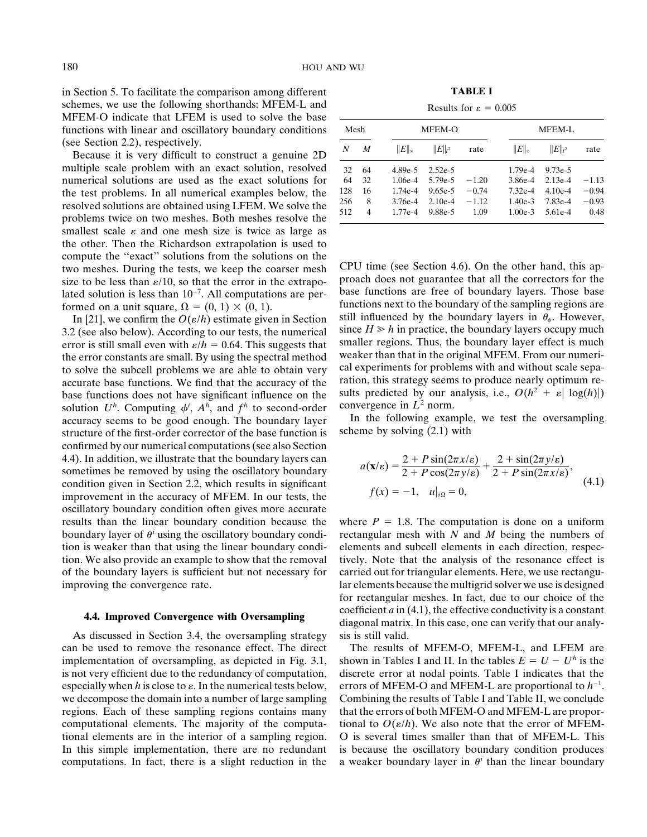in Section 5. To facilitate the comparison among different **TABLE I** schemes, we use the following shorthands: MFEM-L and Results for  $\varepsilon = 0.005$ MFEM-O indicate that LFEM is used to solve the base functions with linear and oscillatory boundary conditions (see Section 2.2), respectively.

Because it is very difficult to construct a genuine 2D multiple scale problem with an exact solution, resolved numerical solutions are used as the exact solutions for the test problems. In all numerical examples below, the resolved solutions are obtained using LFEM. We solve the problems twice on two meshes. Both meshes resolve the smallest scale  $\varepsilon$  and one mesh size is twice as large as the other. Then the Richardson extrapolation is used to compute the "exact" solutions from the solutions on the<br>two meshes. During the tests, we keep the coarser mesh CPU time (see Section 4.6). On the other hand, this ap-<br>size to be less than  $\varepsilon/10$  so that the error in the

3.2 (see also below). According to our tests, the numerical since  $H \ge h$  in practice, the boundary layers occupy much error is still small even with  $\varepsilon/h = 0.64$ . This suggests that smaller regions. Thus, the boundary lay error is still small even with  $\varepsilon/h = 0.64$ . This suggests that smaller regions. Thus, the boundary layer effect is much<br>the error constants are small. By using the spectral method weaker than that in the original MFEM. F the error constants are small. By using the spectral method weaker than that in the original MFEM. From our numeri-<br>to solve the subcell problems we are able to obtain very cal experiments for problems with and without sca to solve the subcell problems we are able to obtain very cal experiments for problems with and without scale sepa-<br>accurate hase functions. We find that the accuracy of the ration, this strategy seems to produce nearly opt accurate base functions. We find that the accuracy of the ration, this strategy seems to produce nearly optimum re-<br>base functions does not have significant influence on the sults predicted by our analysis, i.e.,  $O(h^2 + \v$ base functions does not have significant influence on the sults predicted by our a<br>solution  $I^h$  Computing  $A^i$   $A^h$  and  $f^h$  to second-order convergence in  $L^2$  norm. solution  $U^h$ . Computing  $\phi^i$ ,  $A^h$ , and  $f^h$  to second-order convergence in  $L^2$  norm. accuracy seems to be good enough. The boundary layer In the following example, we test the oversampling structure of the first-order corrector of the base function is scheme by solving (2.1) with structure of the first-order corrector of the base function is confirmed by our numerical computations (see also Section 4.4). In addition, we illustrate that the boundary layers can sometimes be removed by using the oscillatory boundary condition given in Section 2.2, which results in significant *improvement* in the accuracy of MFEM. In our tests, the oscillatory boundary condition often gives more accurate results than the linear boundary condition because the where  $P = 1.8$ . The computation is done on a uniform boundary layer of  $\theta^i$  using the oscillatory boundary condi- rectangular mesh with *N* and *M* being the numbers of tion is weaker than that using the linear boundary condi- elements and subcell elements in each direction, respection. We also provide an example to show that the removal tively. Note that the analysis of the resonance effect is of the boundary layers is sufficient but not necessary for carried out for triangular elements. Here, we use rectanguimproving the convergence rate. lare large large large large large multigrid solver we use is designed

As discussed in Section 3.4, the oversampling strategy sis is still valid. can be used to remove the resonance effect. The direct The results of MFEM-O, MFEM-L, and LFEM are implementation of oversampling, as depicted in Fig. 3.1, shown in Tables I and II. In the tables  $E = U - U^h$  is the is not very efficient due to the redundancy of computation, discrete error at nodal points. Table I indicates that the especially when *h* is close to  $\varepsilon$ . In the numerical tests below, errors of MFEM-O and MFEM-L are proportional to  $h^{-1}$ . regions. Each of these sampling regions contains many that the errors of both MFEM-O and MFEM-L are proporcomputational elements. The majority of the computa- tional to  $O(\varepsilon/h)$ . We also note that the error of MFEM-In this simple implementation, there are no redundant is because the oscillatory boundary condition produces computations. In fact, there is a slight reduction in the a weaker boundary layer in  $\theta^i$  than the linear boundary

| Mesh |                  |             |               |                  | <b>MFEM-L</b> |         |  |  |
|------|------------------|-------------|---------------|------------------|---------------|---------|--|--|
| M    | $  E  _{\infty}$ | $  E  _l^2$ | rate          | $\ E\ _{\infty}$ | $  E  _l^2$   | rate    |  |  |
| 64   | 4.89e-5          | $2.52e-5$   |               | $1.79e-4$        | $9.73e-5$     |         |  |  |
| 32   | 1.06e-4          | 5.79e-5     | $-1.20$       | 3.86e-4          | $2.13e-4$     | $-1.13$ |  |  |
| 16   | $1.74e-4$        | $9.65e-5$   | $-0.74$       | $7.32e-4$        | $4.10e-4$     | $-0.94$ |  |  |
| 8    | 3.76e-4          | $2.10e-4$   | $-1.12$       | $1.40e-3$        | 7.83e-4       | $-0.93$ |  |  |
| 4    | $1.77e-4$        | 9.88e-5     | 1.09          | $1.00e-3$        | 5.61e-4       | 0.48    |  |  |
|      |                  |             | <b>MFEM-O</b> |                  |               |         |  |  |

size to be less than  $\varepsilon/10$ , so that the error in the extrapo-<br>lated solution is less than  $10^{-7}$  All computations are per-<br>base functions are free of boundary layers. Those base lated solution is less than  $10^{-7}$ . All computations are per- base functions are free of boundary layers. Those base formed on a unit square,  $\Omega = (0, 1) \times (0, 1)$ .<br>
In [21], we confirm the  $O(\varepsilon/h)$  estimate given in Section<br>
3.2 (see also below). According to our tests, the numerical<br>  $\sin \theta \ge h$  in practice, the boundary layers occupy mu

$$
a(\mathbf{x}/\varepsilon) = \frac{2 + P \sin(2\pi x/\varepsilon)}{2 + P \cos(2\pi y/\varepsilon)} + \frac{2 + \sin(2\pi y/\varepsilon)}{2 + P \sin(2\pi x/\varepsilon)},
$$
  

$$
f(x) = -1, \quad u|_{\partial\Omega} = 0,
$$
 (4.1)

for rectangular meshes. In fact, due to our choice of the **4.4. Improved Convergence with Oversampling** coefficient *a* in (4.1), the effective conductivity is a constant diagonal matrix. In this case, one can verify that our analy-

we decompose the domain into a number of large sampling Combining the results of Table I and Table II, we conclude tional elements are in the interior of a sampling region. O is several times smaller than that of MFEM-L. This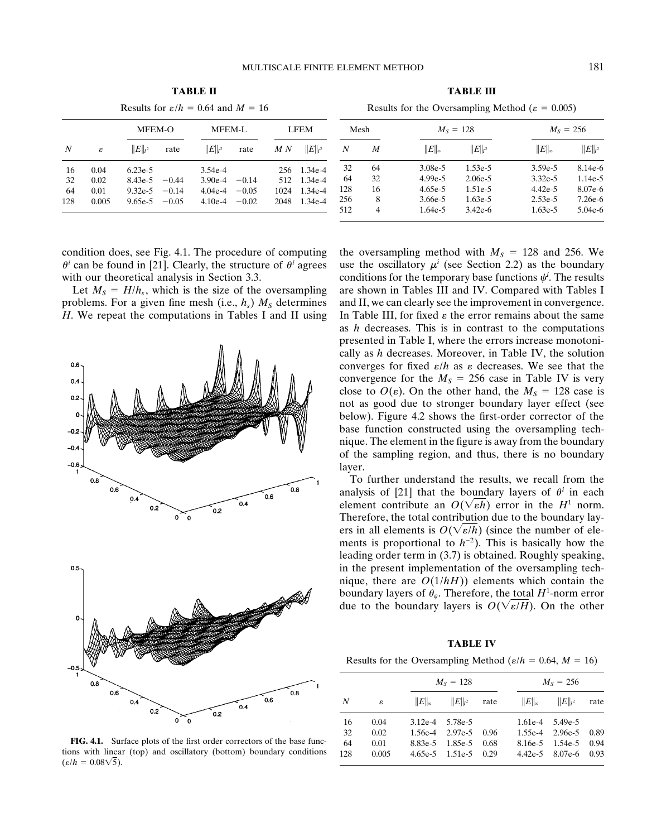**TABLE II** TABLE III

Results for  $\varepsilon/h = 0.64$  and  $M = 16$  Results for the Oversampling Method ( $\varepsilon = 0.005$ )

|                  |       | <b>MFEM-O</b> |         | <b>MFEM-L</b> |         | <b>LFEM</b> |             | Mesh |    | $M_s = 128$       |               | $M_s = 256$      |               |
|------------------|-------|---------------|---------|---------------|---------|-------------|-------------|------|----|-------------------|---------------|------------------|---------------|
| $\boldsymbol{N}$ | ε     | $  E  _l^2$   | rate    | $  E  _{l^2}$ | rate    | M N         | $  E  _l^2$ | N    | M  | $\ E\ _{_\infty}$ | $\ E\ _{l^2}$ | $\ E\ _{\infty}$ | $  E  _{l^2}$ |
| 16               | 0.04  | $6.23e-5$     |         | $3.54e-4$     |         | 256         | $1.34e-4$   | 32   | 64 | $3.08e-5$         | 1.53e-5       | $3.59e-5$        | 8.14e-6       |
| 32               | 0.02  | 8.43e-5       | $-0.44$ | $3.90e-4$     | $-0.14$ | 512         | 1.34e-4     | 64   | 32 | $4.99e-5$         | 2.06e-5       | $3.32e-5$        | 1.14e-5       |
| 64               | 0.01  | $9.32e-5$     | $-0.14$ | $4.04e-4$     | $-0.05$ | 1024        | 1.34e-4     | 128  | 16 | $4.65e-5$         | 1.51e-5       | $4.42e-5$        | 8.07e-6       |
| 128              | 0.005 | 9.65e-5       | $-0.05$ | $4.10e-4$     | $-0.02$ | 2048        | 1.34e-4     | 256  | 8  | 3.66e-5           | $1.63e-5$     | $2.53e-5$        | 7.26e-6       |
|                  |       |               |         |               |         |             |             | 512  | 4  | 1.64e-5           | $3.42e-6$     | 1.63e-5          | 5.04e-6       |

condition does, see Fig. 4.1. The procedure of computing the oversampling method with  $M_s = 128$  and 256. We

problems. For a given fine mesh (i.e.,  $h<sub>s</sub>$ )  $M<sub>S</sub>$  determines and II, we can clearly see the improvement in convergence. *H*. We repeat the computations in Tables I and II using In Table III, for fixed  $\varepsilon$  the error remains about the same



**FIG. 4.1.** Surface plots of the first order correctors of the base functions with linear (top) and oscillatory (bottom) boundary conditions  $(\varepsilon/h = 0.08\sqrt{5}).$ 

 $\theta^i$  can be found in [21]. Clearly, the structure of  $\theta^i$  agrees use the oscillatory  $\mu^i$  (see Section 2.2) as the boundary with our theoretical analysis in Section 3.3. conditions for the temporary base functions  $\psi^i$ . The results Let  $M_s = H/h_s$ , which is the size of the oversampling are shown in Tables III and IV. Compared with Tables I as *h* decreases. This is in contrast to the computations presented in Table I, where the errors increase monotonically as *h* decreases. Moreover, in Table IV, the solution converges for fixed  $\varepsilon/h$  as  $\varepsilon$  decreases. We see that the convergence for the  $M<sub>S</sub> = 256$  case in Table IV is very close to  $O(\varepsilon)$ . On the other hand, the  $M_s = 128$  case is not as good due to stronger boundary layer effect (see below). Figure 4.2 shows the first-order corrector of the base function constructed using the oversampling technique. The element in the figure is away from the boundary of the sampling region, and thus, there is no boundary layer.

> To further understand the results, we recall from the analysis of [21] that the boundary layers of  $\theta^i$  in each element contribute an  $O(\sqrt{\varepsilon}h)$  error in the  $H^1$  norm. Therefore, the total contribution due to the boundary layers in all elements is  $O(\sqrt{\varepsilon/h})$  (since the number of elements is proportional to  $h^{-2}$ ). This is basically how the leading order term in (3.7) is obtained. Roughly speaking, in the present implementation of the oversampling technique, there are  $O(1/hH)$ ) elements which contain the boundary layers of  $\theta_{\psi}$ . Therefore, the total  $H^1$ -norm error due to the boundary layers is  $O(\sqrt{\varepsilon/H})$ . On the other

**TABLE IV**

Results for the Oversampling Method ( $\varepsilon/h = 0.64$ ,  $M = 16$ )

|           |               |           | $M_{\rm s} = 128$                   |      |  |  | $M_s = 256$                                |      |
|-----------|---------------|-----------|-------------------------------------|------|--|--|--------------------------------------------|------|
| N         | $\varepsilon$ |           | $  E  _{\infty}$ $  E  _{l^2}$ rate |      |  |  | $  E  _{\infty}$ $  E  _{l^2}$             | rate |
| -16<br>32 | 0.04<br>0.02  | $3.12e-4$ | 5.78e-5<br>$1.56e-4$ $2.97e-5$      | 0.96 |  |  | $1.61e-4$ $5.49e-5$<br>$1.55e-4$ $2.96e-5$ | 0.89 |
| 64        | 0.01          |           | 8.83e-5 1.85e-5                     | 0.68 |  |  | $8.16e-5$ $1.54e-5$                        | 0.94 |
| 128       | 0.005         |           | $4.65e-5$ $1.51e-5$                 | 0.29 |  |  | $4.42e-5$ $8.07e-6$                        | 0.93 |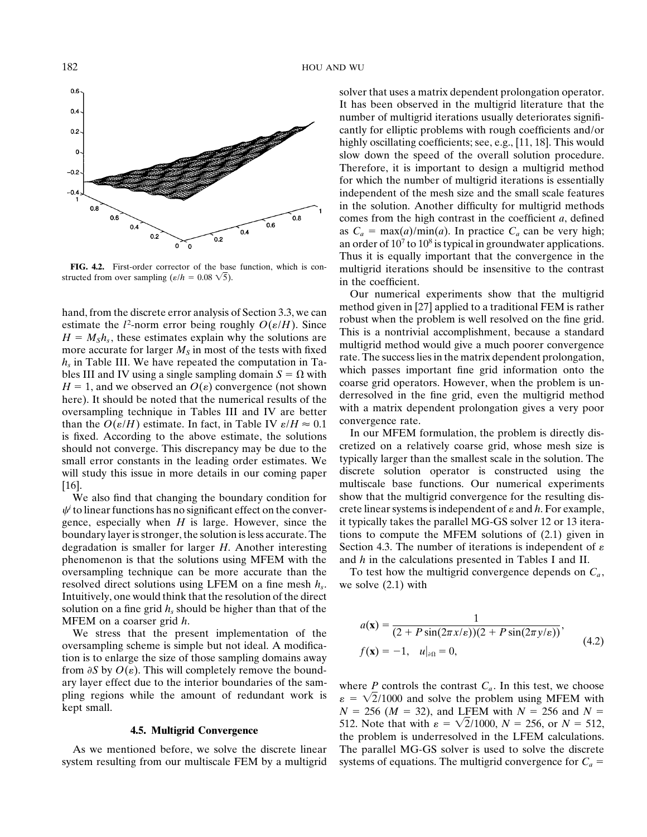

than the  $O(\varepsilon/H)$  estimate. In fact, in Table IV  $\varepsilon/H \approx 0.1$  convergence rate.<br>is fixed. According to the above estimate, the solutions In our MFEM formulation, the problem is directly dis-In our MFEM formulation, the problem is directly dis-<br>should not converge. This discrepancy may be due to the cretized on a relatively coarse grid, whose mesh size is<br>small error constants in the leading order estimates We small error constants in the leading order estimates. We typically larger than the smallest scale in the solution. The will study this issue in more details in our coming paper discrete solution operator is constructed usi will study this issue in more details in our coming paper [16]. multiscale base functions. Our numerical experiments

gence, especially when *H* is large. However, since the it typically takes the parallel MG-GS solver 12 or 13 iteraboundary layer is stronger, the solution is less accurate. The tions to compute the MFEM solutions of (2.1) given in degradation is smaller for larger *H*. Another interesting Section 4.3. The number of iterations is independent of  $\varepsilon$ phenomenon is that the solutions using MFEM with the and *h* in the calculations presented in Tables I and II. oversampling technique can be more accurate than the To test how the multigrid convergence depends on  $C_a$ , resolved direct solutions using LFEM on a fine mesh  $h_s$ . we solve (2.1) with Intuitively, one would think that the resolution of the direct solution on a fine grid  $h_s$  should be higher than that of the MFEM on a coarser grid *h*.

We stress that the present implementation of the oversampling scheme is simple but not ideal. A modification is to enlarge the size of those sampling domains away from  $\partial S$  by  $O(\varepsilon)$ . This will completely remove the boundary layer effect due to the interior boundaries of the sam-<br>pling regions while the amount of redundant work is<br> $\epsilon = \sqrt{2}/1000$  and solve the problem using MFEM with<br>kept small.<br> $N = 256$  ( $M = 32$ ), and LFEM with  $N = 256$  a

system resulting from our multiscale FEM by a multigrid systems of equations. The multigrid convergence for  $C_a$  =

solver that uses a matrix dependent prolongation operator. It has been observed in the multigrid literature that the number of multigrid iterations usually deteriorates significantly for elliptic problems with rough coefficients and/or highly oscillating coefficients; see, e.g., [11, 18]. This would slow down the speed of the overall solution procedure. Therefore, it is important to design a multigrid method for which the number of multigrid iterations is essentially independent of the mesh size and the small scale features in the solution. Another difficulty for multigrid methods comes from the high contrast in the coefficient *a*, defined as  $C_a = \max(a)/\min(a)$ . In practice  $C_a$  can be very high; an order of  $10<sup>7</sup>$  to  $10<sup>8</sup>$  is typical in groundwater applications. Thus it is equally important that the convergence in the **FIG. 4.2.** First-order corrector of the base function, which is con-<br>structed from over sampling  $(\varepsilon/h = 0.08 \sqrt{5})$ .<br>in the coefficient.

Our numerical experiments show that the multigrid hand, from the discrete error analysis of Section 3.3, we can<br>estimate the *l*<sup>2</sup>-norm error being roughly  $O(\varepsilon/H)$ . Since robust when the problem is well resolved on the fine grid.<br> $H = M h$ , these estimates explain why th estimate the  $l^2$ -norm error being roughly  $O(\varepsilon/H)$ . Since<br>  $H = M_s h_s$ , these estimates explain why the solutions are<br>
this is a nontrivial accomplishment, because a standard<br>
more accurate for larger  $M_s$  in most of the bles III and IV using a single sampling domain  $S = \Omega$  with<br>  $H = 1$ , and we observed an  $O(\varepsilon)$  convergence (not shown<br>
here). It should be noted that the numerical results of the<br>
oversampling technique in Tables III and

We also find that changing the boundary condition for show that the multigrid convergence for the resulting dis- $\psi^i$  to linear functions has no significant effect on the conver- crete linear systems is independent of  $\varepsilon$  and  $h$ . For example,

$$
a(\mathbf{x}) = \frac{1}{(2 + P\sin(2\pi x/\varepsilon))(2 + P\sin(2\pi y/\varepsilon))},
$$
  

$$
f(\mathbf{x}) = -1, \quad u|_{\partial\Omega} = 0,
$$
 (4.2)

**4.5. Multigrid Convergence** 512. Note that with  $\varepsilon = \sqrt{2}/1000$ ,  $N = 256$ , or  $N = 512$ , the problem is underresolved in the LFEM calculations. As we mentioned before, we solve the discrete linear The parallel MG-GS solver is used to solve the discrete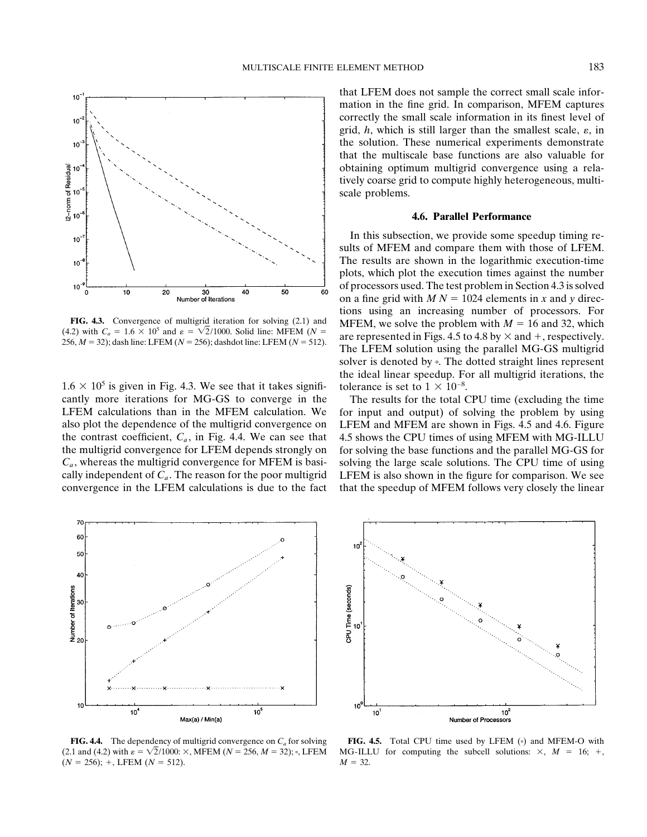

 $1.6 \times 10^5$  is given in Fig. 4.3. We see that it takes significantly more iterations for MG-GS to converge in the The results for the total CPU time (excluding the time LFEM calculations than in the MFEM calculation. We for input and output) of solving the problem by using also plot the dependence of the multigrid convergence on LFEM and MFEM are shown in Figs. 4.5 and 4.6. Figure the contrast coefficient,  $C_a$ , in Fig. 4.4. We can see that 4.5 shows the CPU times of using MFEM with MG-ILLU the multigrid convergence for LFEM depends strongly on for solving the base functions and the parallel MG-GS  $C_a$ , whereas the multigrid convergence for MFEM is basi-<br>cally independent of  $C_a$ . The reason for the poor multigrid LFEM is also shown in the figure for comparison. We see convergence in the LFEM calculations is due to the fact that the speedup of MFEM follows very closely the linear

that LFEM does not sample the correct small scale information in the fine grid. In comparison, MFEM captures correctly the small scale information in its finest level of grid,  $h$ , which is still larger than the smallest scale,  $\varepsilon$ , in the solution. These numerical experiments demonstrate that the multiscale base functions are also valuable for obtaining optimum multigrid convergence using a relatively coarse grid to compute highly heterogeneous, multiscale problems.

### **4.6. Parallel Performance**

In this subsection, we provide some speedup timing results of MFEM and compare them with those of LFEM. The results are shown in the logarithmic execution-time plots, which plot the execution times against the number of processors used. The test problem in Section 4.3 is solved on a fine grid with  $M N = 1024$  elements in x and y directions using an increasing number of processors. For **FIG. 4.3.** Convergence of multigrid iteration for solving (2.1) and<br>(4.2) with  $C_a = 1.6 \times 10^5$  and  $\varepsilon = \sqrt{2}/1000$ . Solid line: MFEM ( $N =$ <br>256,  $M = 32$ ); dash line: LFEM ( $N = 256$ ); dashdot line: LFEM ( $N = 512$ ).<br>The LF solver is denoted by  $\circ$ . The dotted straight lines represent the ideal linear speedup. For all multigrid iterations, the tolerance is set to  $1 \times 10^{-8}$ .

> for solving the base functions and the parallel MG-GS for LFEM is also shown in the figure for comparison. We see



**FIG. 4.4.** The dependency of multigrid convergence on *C<sub>a</sub>* for solving **FIG. 4.5.** Total CPU time used by LFEM ( $\circ$ ) and MFEM-O with  $\varepsilon = \sqrt{2}/1000$ :  $\times$ , MFEM ( $N = 256$ ,  $M = 32$ );  $\circ$ , LFEM MG-ILLU for computing th  $(N = 256); +$ , LFEM  $(N = 512).$  *M* = 32.



MG-ILLU for computing the subcell solutions:  $\times$ ,  $M = 16$ ;  $+$ ,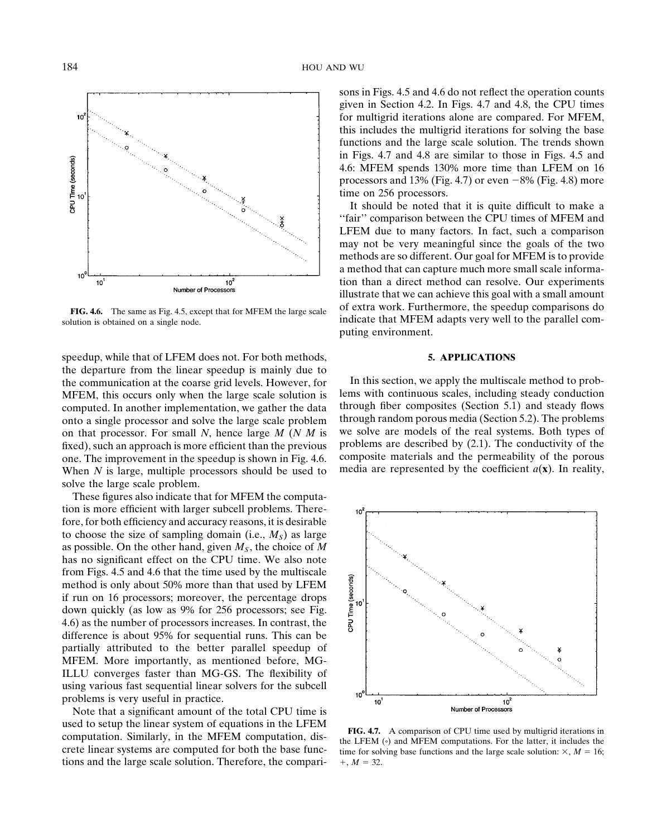

solution is obtained on a single node. The solution is obtained on a single node. The solution is obtained on a single node.

speedup, while that of LFEM does not. For both methods, **5. APPLICATIONS** the departure from the linear speedup is mainly due to the communication at the coarse grid levels. However, for In this section, we apply the multiscale method to prob-<br>MFEM, this occurs only when the large scale solution is lems with continuous scales, including steady condu MFEM, this occurs only when the large scale solution is lems with continuous scales, including steady conduction<br>computed. In another implementation, we gather the data through fiber composites (Section 5.1) and steady flo computed. In another implementation, we gather the data through fiber composites (Section 5.1) and steady flows<br>onto a single processor and solve the large scale problem through random porous media (Section 5.2). The probl onto a single processor and solve the large scale problem through random porous media (Section 5.2). The problems on that processor For small N hence large M (N M is we solve are models of the real systems. Both types of on that processor. For small *N*, hence large *M* (*N M* is we solve are models of the real systems. Both types of fixed), such an approach is more efficient than the previous problems are described by (2.1). The conductiv fixed), such an approach is more efficient than the previous problems are described by  $(2.1)$ . The conductivity of the porous one. The improvement in the speedup is shown in Fig. 4.6 composite materials and the permeabil one. The improvement in the speedup is shown in Fig. 4.6. composite materials and the permeability of the porous When N is large, multiple processors should be used to media are represented by the coefficient  $a(\mathbf{x})$ . In When  $N$  is large, multiple processors should be used to solve the large scale problem.

These figures also indicate that for MFEM the computation is more efficient with larger subcell problems. Therefore, for both efficiency and accuracy reasons, it is desirable to choose the size of sampling domain (i.e.,  $M<sub>S</sub>$ ) as large as possible. On the other hand, given  $M<sub>S</sub>$ , the choice of  $M$ has no significant effect on the CPU time. We also note from Figs. 4.5 and 4.6 that the time used by the multiscale method is only about 50% more than that used by LFEM if run on 16 processors; moreover, the percentage drops down quickly (as low as 9% for 256 processors; see Fig. 4.6) as the number of processors increases. In contrast, the difference is about 95% for sequential runs. This can be partially attributed to the better parallel speedup of MFEM. More importantly, as mentioned before, MG-ILLU converges faster than MG-GS. The flexibility of using various fast sequential linear solvers for the subcell problems is very useful in practice.

Note that a significant amount of the total CPU time is used to setup the linear system of equations in the LFEM<br>computation, dis-<br>computations. Similarly, in the MFEM computation, dis-<br>the LFEM ( $\circ$ ) and MFEM computations. For the latter, it includes the crete linear systems are computed for both the base func-<br>time for solving base functions and the large scale solution:  $\times$ ,  $M = 16$ ; tions and the large scale solution. Therefore, the compari-  $+, M = 32$ .

sons in Figs. 4.5 and 4.6 do not reflect the operation counts given in Section 4.2. In Figs. 4.7 and 4.8, the CPU times for multigrid iterations alone are compared. For MFEM, this includes the multigrid iterations for solving the base functions and the large scale solution. The trends shown in Figs. 4.7 and 4.8 are similar to those in Figs. 4.5 and 4.6: MFEM spends 130% more time than LFEM on 16 processors and 13% (Fig. 4.7) or even  $-8\%$  (Fig. 4.8) more time on 256 processors.

It should be noted that it is quite difficult to make a "fair" comparison between the CPU times of MFEM and LFEM due to many factors. In fact, such a comparison may not be very meaningful since the goals of the two methods are so different. Our goal for MFEM is to provide a method that can capture much more small scale information than a direct method can resolve. Our experiments illustrate that we can achieve this goal with a small amount FIG. 4.6. The same as Fig. 4.5, except that for MFEM the large scale of extra work. Furthermore, the speedup comparisons do puting environment.

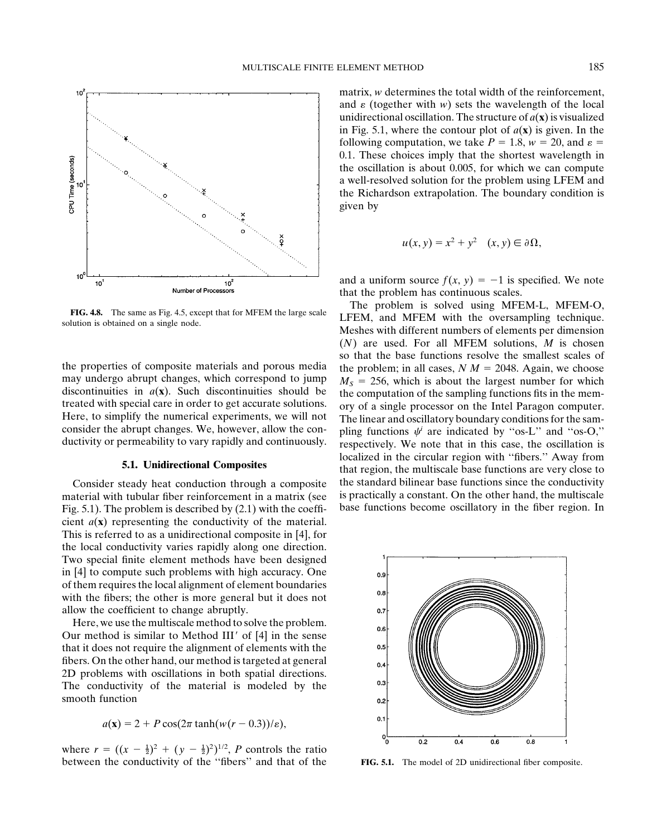

may undergo abrupt changes, which correspond to jump  $M_S = 256$ , which is about the largest number for which discontinuities in  $a(\mathbf{x})$ . Such discontinuities should be the computation of the sampling functions fits in the discontinuities in  $a(\mathbf{x})$ . Such discontinuities should be the computation of the sampling functions fits in the mem-<br>treated with special care in order to get accurate solutions. ory of a single processor on the Intel P treated with special care in order to get accurate solutions. ory of a single processor on the Intel Paragon computer.<br>Here, to simplify the numerical experiments, we will not The linear and oscillatory boundary conditions Here, to simplify the numerical experiments, we will not The linear and oscillatory boundary conditions for the sam-<br>consider the abrupt changes. We, however, allow the con-<br>pling functions  $u^i$  are indicated by "os-I" a consider the abrupt changes. We, however, allow the con-<br>ductivity or permeability to vary rapidly and continuously.<br>respectively We note that in this case, the oscillation is

material with tubular fiber reinforcement in a matrix (see is practically a constant. On the other hand, the multiscale Fig. 5.1) The problem is described by (2.1) with the coeffi- base functions become oscillatory in the Fig.  $5.1$ ). The problem is described by  $(2.1)$  with the coefficient  $a(\mathbf{x})$  representing the conductivity of the material. This is referred to as a unidirectional composite in [4], for the local conductivity varies rapidly along one direction. Two special finite element methods have been designed in [4] to compute such problems with high accuracy. One of them requires the local alignment of element boundaries with the fibers; the other is more general but it does not allow the coefficient to change abruptly.

Here, we use the multiscale method to solve the problem. Our method is similar to Method III' of  $[4]$  in the sense that it does not require the alignment of elements with the fibers. On the other hand, our method is targeted at general 2D problems with oscillations in both spatial directions. The conductivity of the material is modeled by the smooth function

$$
a(\mathbf{x}) = 2 + P \cos(2\pi \tanh(w(r - 0.3))/\varepsilon),
$$

where  $r = ((x - \frac{1}{2})^2 + (y - \frac{1}{2})^2)^{1/2}$ , *P* controls the ratio between the conductivity of the ''fibers'' and that of the **FIG. 5.1.** The model of 2D unidirectional fiber composite.

matrix, *w* determines the total width of the reinforcement. and  $\varepsilon$  (together with  $w$ ) sets the wavelength of the local unidirectional oscillation. The structure of  $a(\mathbf{x})$  is visualized in Fig. 5.1, where the contour plot of  $a(\mathbf{x})$  is given. In the following computation, we take  $P = 1.8$ ,  $w = 20$ , and  $\varepsilon =$ 0.1. These choices imply that the shortest wavelength in the oscillation is about 0.005, for which we can compute a well-resolved solution for the problem using LFEM and the Richardson extrapolation. The boundary condition is given by

$$
u(x, y) = x^2 + y^2 \quad (x, y) \in \partial \Omega,
$$

and a uniform source  $f(x, y) = -1$  is specified. We note that the problem has continuous scales.

FIG. 4.8. The same as Fig. 4.5, except that for MFEM the large scale<br>solution is obtained on a single node.<br>Meshes with different numbers of elements per dimension<br>Meshes with different numbers of elements per dimension (*N*) are used. For all MFEM solutions, *M* is chosen so that the base functions resolve the smallest scales of the properties of composite materials and porous media the problem; in all cases,  $NM = 2048$ . Again, we choose may undergo abrupt changes, which correspond to jump  $M_s = 256$ , which is about the largest number for which respectively. We note that in this case, the oscillation is **5.1. Unidirectional Composites** localized in the circular region with "fibers." Away from that region, the multiscale base functions are very close to Consider steady heat conduction through a composite the standard bilinear base functions since the conductivity aterial with tubular fiber reinforcement in a matrix (see is practically a constant. On the other hand, the mu

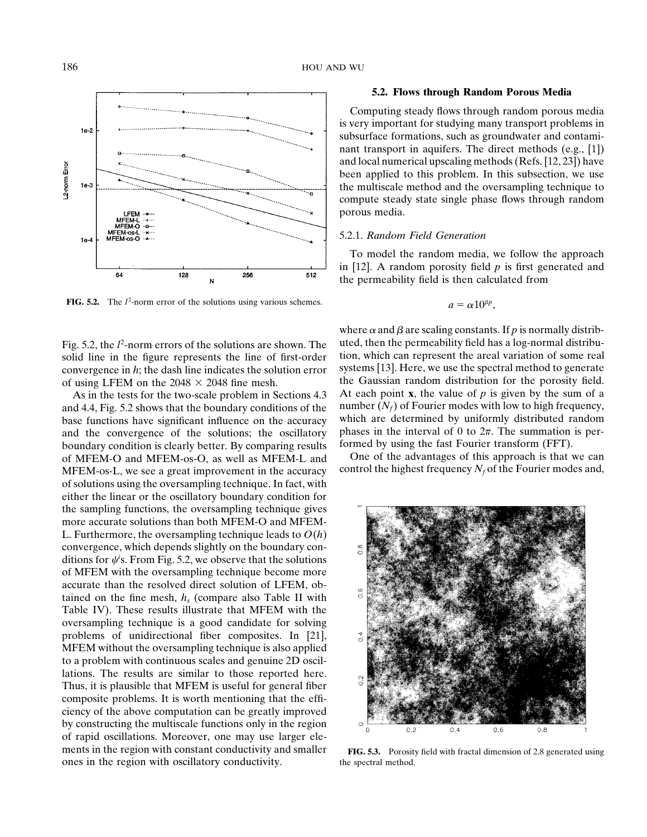

**FIG. 5.2.** The  $l^2$ -norm error of the solutions using various schemes.  $a = \alpha 10^{\beta p}$ 

solid line in the figure represents the line of first-order tion, which can represent the areal variation of some real convergence in  $h$ : the dash line indicates the solution error systems [13]. Here, we use the spectral convergence in  $h$ ; the dash line indicates the solution error

and 4.4, Fig. 5.2 shows that the boundary conditions of the number  $(N_f)$  of Fourier modes with low to high frequency, base functions have significant influence on the accuracy which are determined by uniformly distributed base functions have significant influence on the accuracy and the convergence of the solutions; the oscillatory phases in the interval of 0 to  $2\pi$ . The summation is per-<br>boundary condition is clearly better. By comparing results formed by using the fast Fourier transform (FFT) boundary condition is clearly better. By comparing results formed by using the fast Fourier transform (FFT).<br>of MEEM-O and MEEM-os-O as well as MEEM-L and One of the advantages of this approach is that we can of MFEM-O and MFEM-os-O, as well as MFEM-L and One of the advantages of this approach is that we can<br>MFEM-os-L, we see a great improvement in the accuracy control the highest frequency  $N_f$  of the Fourier modes and, MFEM-os-L, we see a great improvement in the accuracy of solutions using the oversampling technique. In fact, with either the linear or the oscillatory boundary condition for the sampling functions, the oversampling technique gives more accurate solutions than both MFEM-O and MFEM-L. Furthermore, the oversampling technique leads to  $O(h)$ convergence, which depends slightly on the boundary conditions for  $\psi$ <sup>*i*</sup>s. From Fig. 5.2, we observe that the solutions of MFEM with the oversampling technique become more accurate than the resolved direct solution of LFEM, obtained on the fine mesh,  $h_s$  (compare also Table II with Table IV). These results illustrate that MFEM with the oversampling technique is a good candidate for solving problems of unidirectional fiber composites. In [21], MFEM without the oversampling technique is also applied to a problem with continuous scales and genuine 2D oscillations. The results are similar to those reported here. Thus, it is plausible that MFEM is useful for general fiber composite problems. It is worth mentioning that the efficiency of the above computation can be greatly improved by constructing the multiscale functions only in the region of rapid oscillations. Moreover, one may use larger elements in the region with constant conductivity and smaller **FIG. 5.3.** Porosity field with fractal dimension of 2.8 generated using ones in the region with oscillatory conductivity. the spectral method.

### **5.2. Flows through Random Porous Media**

Computing steady flows through random porous media is very important for studying many transport problems in subsurface formations, such as groundwater and contaminant transport in aquifers. The direct methods (e.g., [1]) and local numerical upscaling methods (Refs. [12, 23]) have been applied to this problem. In this subsection, we use the multiscale method and the oversampling technique to compute steady state single phase flows through random porous media.

# 5.2.1. *Random Field Generation*

To model the random media, we follow the approach in [12]. A random porosity field *p* is first generated and the permeability field is then calculated from

$$
a=\alpha 10^{\beta p},
$$

where  $\alpha$  and  $\beta$  are scaling constants. If p is normally distrib-Fig. 5.2, the l<sup>2</sup>-norm errors of the solutions are shown. The uted, then the permeability field has a log-normal distribuof using LFEM on the 2048  $\times$  2048 fine mesh.<br>As in the tests for the two-scale problem in Sections 4.3 At each point **x**, the value of p is given by the sum of a As in the tests for the two-scale problem in Sections 4.3 At each point **x**, the value of *p* is given by the sum of a d 4.4. Fig. 5.2 shows that the boundary conditions of the number  $(N_f)$  of Fourier modes with low to hi

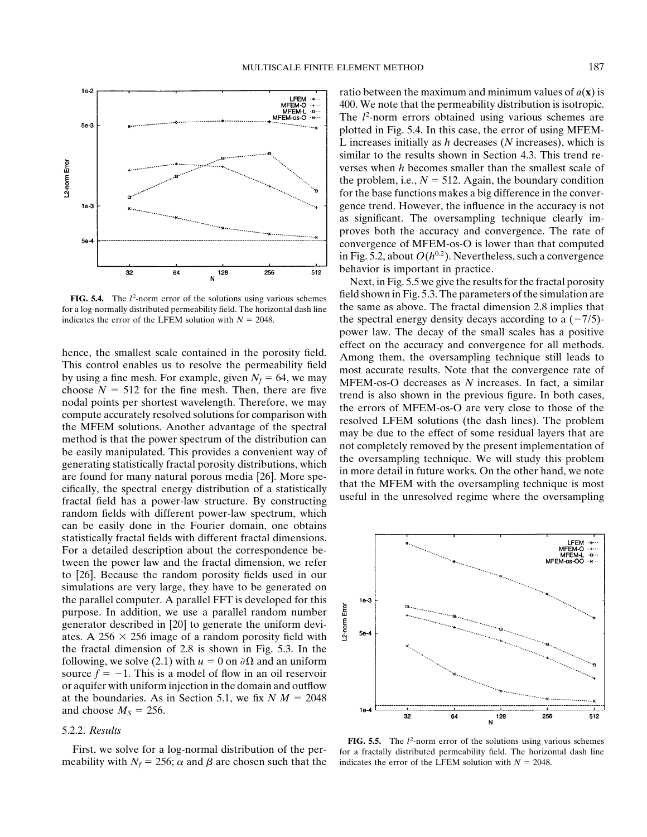

FIG. 5.4. The  $l^2$ -norm error of the solutions using various schemes for a log-normally distributed permeability field. The horizontal dash line the same as above. The fractal dimension 2.8 implies that indicates the error of the LFEM solution with  $N = 2048$ . the spectral energy density decays according to a  $(-7/5)$ -

random fields with different power-law spectrum, which can be easily done in the Fourier domain, one obtains statistically fractal fields with different fractal dimensions. For a detailed description about the correspondence between the power law and the fractal dimension, we refer to [26]. Because the random porosity fields used in our simulations are very large, they have to be generated on the parallel computer. A parallel FFT is developed for this purpose. In addition, we use a parallel random number generator described in [20] to generate the uniform deviates. A 256  $\times$  256 image of a random porosity field with the fractal dimension of 2.8 is shown in Fig. 5.3. In the following, we solve (2.1) with  $u = 0$  on  $\partial \Omega$  and an uniform source  $f = -1$ . This is a model of flow in an oil reservoir or aquifer with uniform injection in the domain and outflow at the boundaries. As in Section 5.1, we fix  $N M = 2048$ and choose  $M<sub>S</sub> = 256$ .

## 5.2.2. *Results*

meability with  $N_f = 256$ ;  $\alpha$  and  $\beta$  are chosen such that the indicates the error of the LFEM solution with  $N = 2048$ .

ratio between the maximum and minimum values of  $a(\mathbf{x})$  is 400. We note that the permeability distribution is isotropic. The  $l^2$ -norm errors obtained using various schemes are plotted in Fig. 5.4. In this case, the error of using MFEM-L increases initially as *h* decreases (*N* increases), which is similar to the results shown in Section 4.3. This trend reverses when *h* becomes smaller than the smallest scale of the problem, i.e.,  $N = 512$ . Again, the boundary condition for the base functions makes a big difference in the convergence trend. However, the influence in the accuracy is not as significant. The oversampling technique clearly improves both the accuracy and convergence. The rate of convergence of MFEM-os-O is lower than that computed in Fig. 5.2, about  $O(h^{0.2})$ . Nevertheless, such a convergence behavior is important in practice.

Next, in Fig. 5.5 we give the results for the fractal porosity field shown in Fig. 5.3. The parameters of the simulation are power law. The decay of the small scales has a positive hence, the smallest scale contained in the porosity field<br>This control enables us to resolve the permeability field<br>This control enables us to resolve the permeability field<br>by using a fine mesh. For example, given  $N_f = 6$ 



FIG. 5.5. The  $l^2$ -norm error of the solutions using various schemes First, we solve for a log-normal distribution of the per-<br>for a fractally distributed permeability field. The horizontal dash line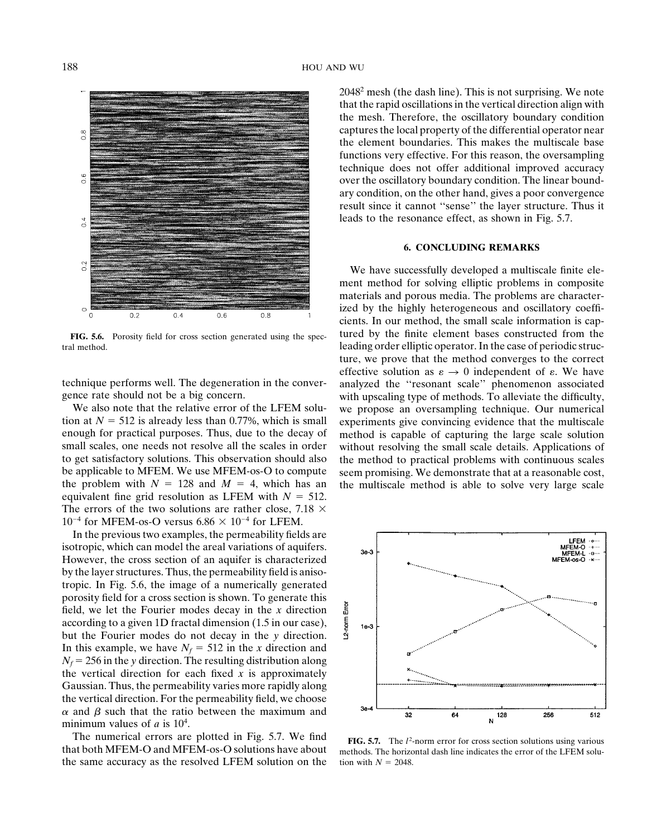

We also note that the relative error of the LFEM solu-<br>tion at  $N = 512$  is already less than 0.77%, which is small experiments give convincing evidence that the multiscale enough for practical purposes. Thus, due to the decay of method is capable of capturing the large scale solution small scales, one needs not resolve all the scales in order without resolving the small scale details. Applic small scales, one needs not resolve all the scales in order without resolving the small scale details. Applications of to get satisfactory solutions. This observation should also the method to practical problems with conti to get satisfactory solutions. This observation should also the method to practical problems with continuous scales<br>be applicable to MFEM. We use MFEM-os-O to compute seem promising. We demonstrate that at a reasonable cos be applicable to MFEM. We use MFEM-os-O to compute seem promising. We demonstrate that at a reasonable cost, the problem with  $N = 128$  and  $M = 4$ , which has an the multiscale method is able to solve very large scale equivalent fine grid resolution as LFEM with  $N = 512$ . The errors of the two solutions are rather close,  $7.18 \times$  $10^{-4}$  for MFEM-os-O versus 6.86  $\times$  10<sup>-4</sup> for LFEM.

In the previous two examples, the permeability fields are isotropic, which can model the areal variations of aquifers. However, the cross section of an aquifer is characterized by the layer structures. Thus, the permeability field is anisotropic. In Fig. 5.6, the image of a numerically generated porosity field for a cross section is shown. To generate this field, we let the Fourier modes decay in the *x* direction according to a given 1D fractal dimension (1.5 in our case), but the Fourier modes do not decay in the *y* direction. In this example, we have  $N_f = 512$  in the *x* direction and  $N_f$  = 256 in the *y* direction. The resulting distribution along the vertical direction for each fixed  $x$  is approximately Gaussian. Thus, the permeability varies more rapidly along the vertical direction. For the permeability field, we choose  $\alpha$  and  $\beta$  such that the ratio between the maximum and minimum values of  $a$  is  $10^4$ .

The numerical errors are plotted in Fig. 5.7. We find that both MFEM-O and MFEM-os-O solutions have about the same accuracy as the resolved LFEM solution on the tion with  $N = 2048$ .

2048<sup>2</sup> mesh (the dash line). This is not surprising. We note that the rapid oscillations in the vertical direction align with the mesh. Therefore, the oscillatory boundary condition captures the local property of the differential operator near the element boundaries. This makes the multiscale base functions very effective. For this reason, the oversampling technique does not offer additional improved accuracy over the oscillatory boundary condition. The linear boundary condition, on the other hand, gives a poor convergence result since it cannot ''sense'' the layer structure. Thus it leads to the resonance effect, as shown in Fig. 5.7.

### **6. CONCLUDING REMARKS**

We have successfully developed a multiscale finite element method for solving elliptic problems in composite materials and porous media. The problems are characterized by the highly heterogeneous and oscillatory coefficients. In our method, the small scale information is cap-FIG. 5.6. Porosity field for cross section generated using the spec-<br>tured by the finite element bases constructed from the tral method. leading order elliptic operator. In the case of periodic structure, we prove that the method converges to the correct effective solution as  $\varepsilon \to 0$  independent of  $\varepsilon$ . We have technique performs well. The degeneration in the conver-<br>gence rate should not be a big concern.<br>with upscaling type of methods. To alleviate the difficulty, nce rate should not be a big concern.<br>We also note that the relative error of the LFEM solu-<br>we propose an oversampling technique. Our numerical experiments give convincing evidence that the multiscale the multiscale method is able to solve very large scale



FIG. 5.7. The  $l^2$ -norm error for cross section solutions using various methods. The horizontal dash line indicates the error of the LFEM solu-